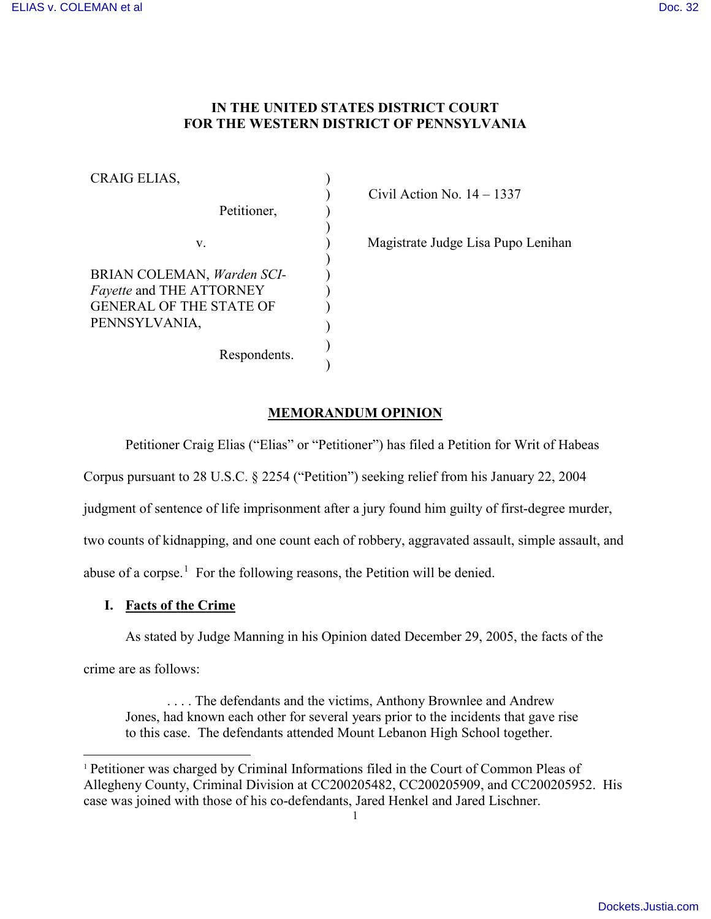# **IN THE UNITED STATES DISTRICT COURT FOR THE WESTERN DISTRICT OF PENNSYLVANIA**

| CRAIG ELIAS,                                    |  |
|-------------------------------------------------|--|
| Petitioner,                                     |  |
|                                                 |  |
| V.                                              |  |
| BRIAN COLEMAN, Warden SCI-                      |  |
| <i>Fayette</i> and THE ATTORNEY                 |  |
| <b>GENERAL OF THE STATE OF</b><br>PENNSYLVANIA, |  |
| Respondents.                                    |  |

) Civil Action No. 14 – 1337

) Magistrate Judge Lisa Pupo Lenihan

# **MEMORANDUM OPINION**

Petitioner Craig Elias ("Elias" or "Petitioner") has filed a Petition for Writ of Habeas

Corpus pursuant to 28 U.S.C. § 2254 ("Petition") seeking relief from his January 22, 2004

judgment of sentence of life imprisonment after a jury found him guilty of first-degree murder,

two counts of kidnapping, and one count each of robbery, aggravated assault, simple assault, and

abuse of a corpse.<sup>[1](#page-0-0)</sup> For the following reasons, the Petition will be denied.

# **I. Facts of the Crime**

As stated by Judge Manning in his Opinion dated December 29, 2005, the facts of the

crime are as follows:

 $\overline{a}$ 

. . . . The defendants and the victims, Anthony Brownlee and Andrew Jones, had known each other for several years prior to the incidents that gave rise to this case. The defendants attended Mount Lebanon High School together.

<span id="page-0-0"></span><sup>1</sup> Petitioner was charged by Criminal Informations filed in the Court of Common Pleas of Allegheny County, Criminal Division at CC200205482, CC200205909, and CC200205952. His case was joined with those of his co-defendants, Jared Henkel and Jared Lischner.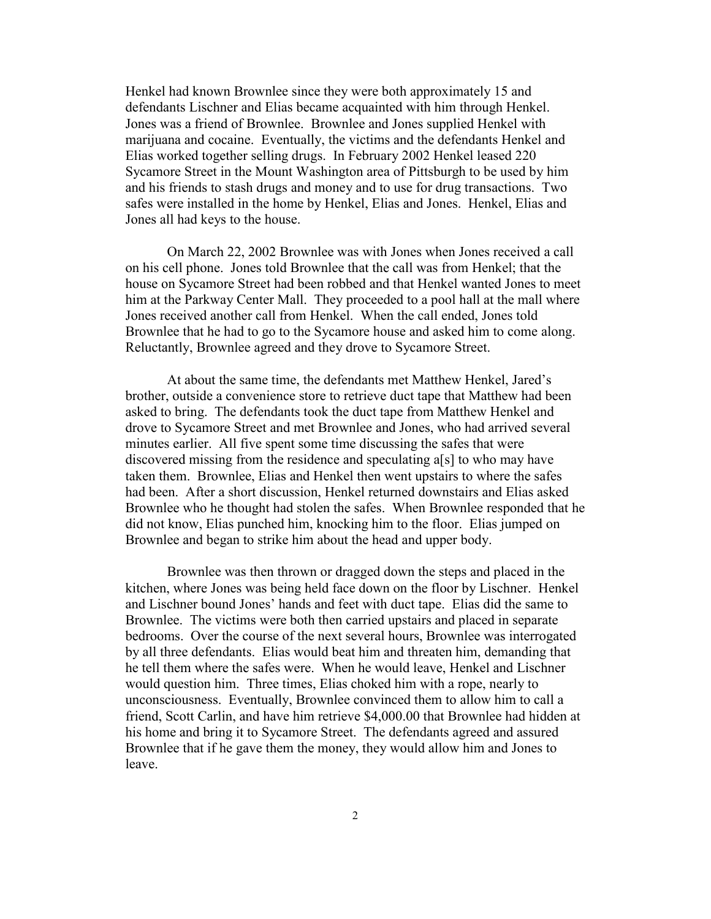Henkel had known Brownlee since they were both approximately 15 and defendants Lischner and Elias became acquainted with him through Henkel. Jones was a friend of Brownlee. Brownlee and Jones supplied Henkel with marijuana and cocaine. Eventually, the victims and the defendants Henkel and Elias worked together selling drugs. In February 2002 Henkel leased 220 Sycamore Street in the Mount Washington area of Pittsburgh to be used by him and his friends to stash drugs and money and to use for drug transactions. Two safes were installed in the home by Henkel, Elias and Jones. Henkel, Elias and Jones all had keys to the house.

On March 22, 2002 Brownlee was with Jones when Jones received a call on his cell phone. Jones told Brownlee that the call was from Henkel; that the house on Sycamore Street had been robbed and that Henkel wanted Jones to meet him at the Parkway Center Mall. They proceeded to a pool hall at the mall where Jones received another call from Henkel. When the call ended, Jones told Brownlee that he had to go to the Sycamore house and asked him to come along. Reluctantly, Brownlee agreed and they drove to Sycamore Street.

At about the same time, the defendants met Matthew Henkel, Jared's brother, outside a convenience store to retrieve duct tape that Matthew had been asked to bring. The defendants took the duct tape from Matthew Henkel and drove to Sycamore Street and met Brownlee and Jones, who had arrived several minutes earlier. All five spent some time discussing the safes that were discovered missing from the residence and speculating a[s] to who may have taken them. Brownlee, Elias and Henkel then went upstairs to where the safes had been. After a short discussion, Henkel returned downstairs and Elias asked Brownlee who he thought had stolen the safes. When Brownlee responded that he did not know, Elias punched him, knocking him to the floor. Elias jumped on Brownlee and began to strike him about the head and upper body.

Brownlee was then thrown or dragged down the steps and placed in the kitchen, where Jones was being held face down on the floor by Lischner. Henkel and Lischner bound Jones' hands and feet with duct tape. Elias did the same to Brownlee. The victims were both then carried upstairs and placed in separate bedrooms. Over the course of the next several hours, Brownlee was interrogated by all three defendants. Elias would beat him and threaten him, demanding that he tell them where the safes were. When he would leave, Henkel and Lischner would question him. Three times, Elias choked him with a rope, nearly to unconsciousness. Eventually, Brownlee convinced them to allow him to call a friend, Scott Carlin, and have him retrieve \$4,000.00 that Brownlee had hidden at his home and bring it to Sycamore Street. The defendants agreed and assured Brownlee that if he gave them the money, they would allow him and Jones to leave.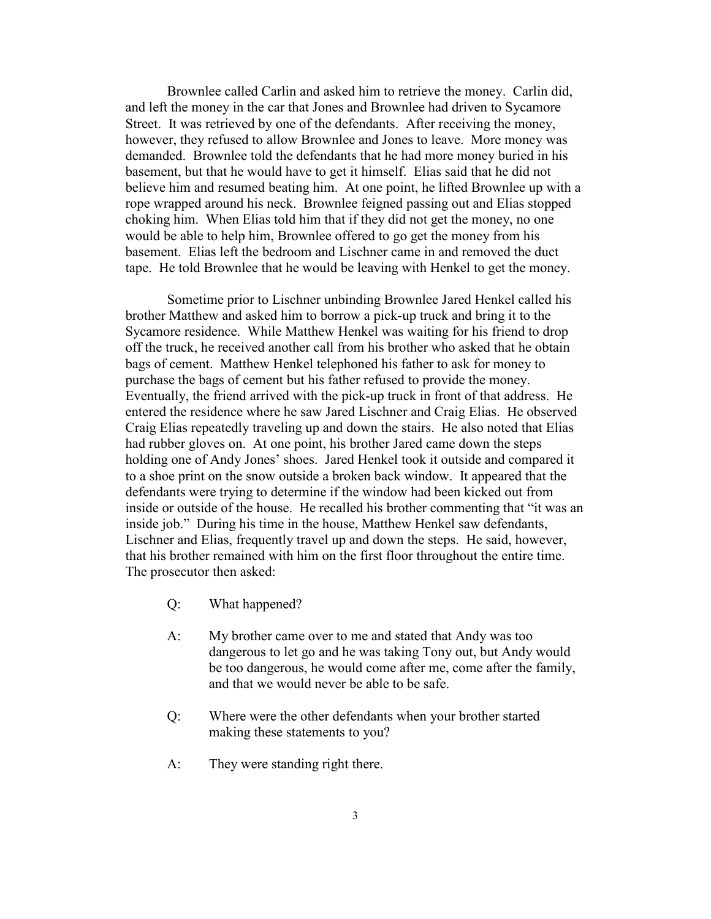Brownlee called Carlin and asked him to retrieve the money. Carlin did, and left the money in the car that Jones and Brownlee had driven to Sycamore Street. It was retrieved by one of the defendants. After receiving the money, however, they refused to allow Brownlee and Jones to leave. More money was demanded. Brownlee told the defendants that he had more money buried in his basement, but that he would have to get it himself. Elias said that he did not believe him and resumed beating him. At one point, he lifted Brownlee up with a rope wrapped around his neck. Brownlee feigned passing out and Elias stopped choking him. When Elias told him that if they did not get the money, no one would be able to help him, Brownlee offered to go get the money from his basement. Elias left the bedroom and Lischner came in and removed the duct tape. He told Brownlee that he would be leaving with Henkel to get the money.

Sometime prior to Lischner unbinding Brownlee Jared Henkel called his brother Matthew and asked him to borrow a pick-up truck and bring it to the Sycamore residence. While Matthew Henkel was waiting for his friend to drop off the truck, he received another call from his brother who asked that he obtain bags of cement. Matthew Henkel telephoned his father to ask for money to purchase the bags of cement but his father refused to provide the money. Eventually, the friend arrived with the pick-up truck in front of that address. He entered the residence where he saw Jared Lischner and Craig Elias. He observed Craig Elias repeatedly traveling up and down the stairs. He also noted that Elias had rubber gloves on. At one point, his brother Jared came down the steps holding one of Andy Jones' shoes. Jared Henkel took it outside and compared it to a shoe print on the snow outside a broken back window. It appeared that the defendants were trying to determine if the window had been kicked out from inside or outside of the house. He recalled his brother commenting that "it was an inside job." During his time in the house, Matthew Henkel saw defendants, Lischner and Elias, frequently travel up and down the steps. He said, however, that his brother remained with him on the first floor throughout the entire time. The prosecutor then asked:

- Q: What happened?
- A: My brother came over to me and stated that Andy was too dangerous to let go and he was taking Tony out, but Andy would be too dangerous, he would come after me, come after the family, and that we would never be able to be safe.
- Q: Where were the other defendants when your brother started making these statements to you?
- A: They were standing right there.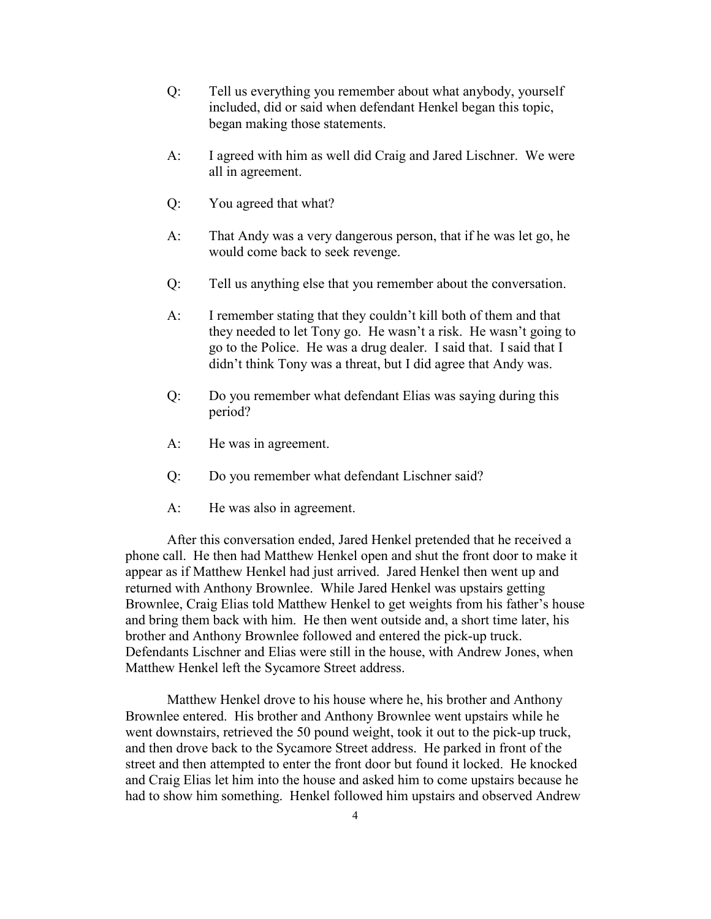- Q: Tell us everything you remember about what anybody, yourself included, did or said when defendant Henkel began this topic, began making those statements.
- A: I agreed with him as well did Craig and Jared Lischner. We were all in agreement.
- Q: You agreed that what?
- A: That Andy was a very dangerous person, that if he was let go, he would come back to seek revenge.
- Q: Tell us anything else that you remember about the conversation.
- A: I remember stating that they couldn't kill both of them and that they needed to let Tony go. He wasn't a risk. He wasn't going to go to the Police. He was a drug dealer. I said that. I said that I didn't think Tony was a threat, but I did agree that Andy was.
- Q: Do you remember what defendant Elias was saying during this period?
- A: He was in agreement.
- Q: Do you remember what defendant Lischner said?
- A: He was also in agreement.

 After this conversation ended, Jared Henkel pretended that he received a phone call. He then had Matthew Henkel open and shut the front door to make it appear as if Matthew Henkel had just arrived. Jared Henkel then went up and returned with Anthony Brownlee. While Jared Henkel was upstairs getting Brownlee, Craig Elias told Matthew Henkel to get weights from his father's house and bring them back with him. He then went outside and, a short time later, his brother and Anthony Brownlee followed and entered the pick-up truck. Defendants Lischner and Elias were still in the house, with Andrew Jones, when Matthew Henkel left the Sycamore Street address.

 Matthew Henkel drove to his house where he, his brother and Anthony Brownlee entered. His brother and Anthony Brownlee went upstairs while he went downstairs, retrieved the 50 pound weight, took it out to the pick-up truck, and then drove back to the Sycamore Street address. He parked in front of the street and then attempted to enter the front door but found it locked. He knocked and Craig Elias let him into the house and asked him to come upstairs because he had to show him something. Henkel followed him upstairs and observed Andrew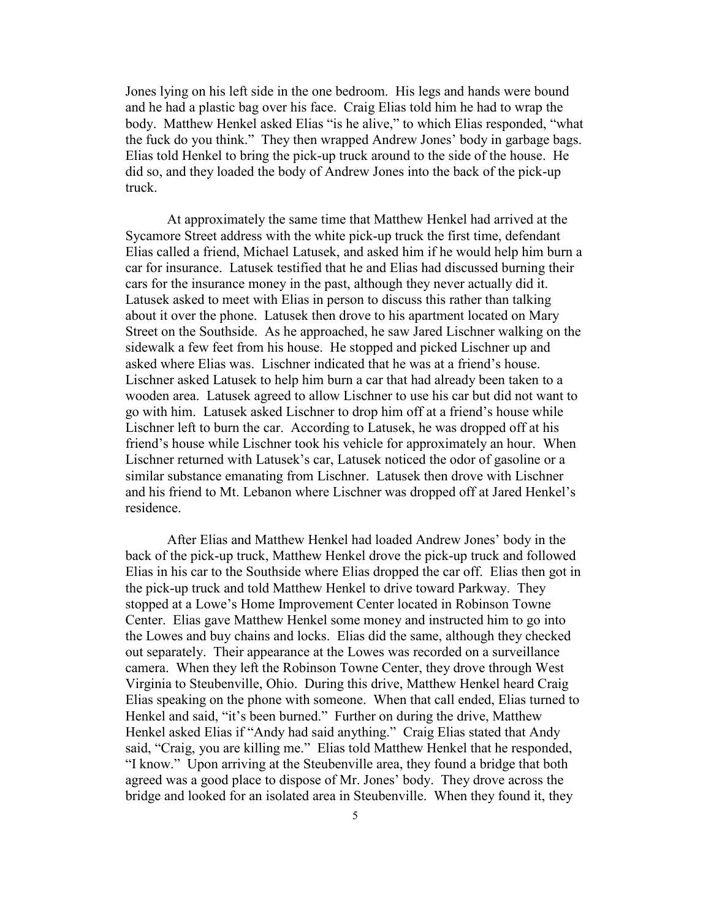Jones lying on his left side in the one bedroom. His legs and hands were bound and he had a plastic bag over his face. Craig Elias told him he had to wrap the body. Matthew Henkel asked Elias "is he alive," to which Elias responded, "what the fuck do you think." They then wrapped Andrew Jones' body in garbage bags. Elias told Henkel to bring the pick-up truck around to the side of the house. He did so, and they loaded the body of Andrew Jones into the back of the pick-up truck.

 At approximately the same time that Matthew Henkel had arrived at the Sycamore Street address with the white pick-up truck the first time, defendant Elias called a friend, Michael Latusek, and asked him if he would help him burn a car for insurance. Latusek testified that he and Elias had discussed burning their cars for the insurance money in the past, although they never actually did it. Latusek asked to meet with Elias in person to discuss this rather than talking about it over the phone. Latusek then drove to his apartment located on Mary Street on the Southside. As he approached, he saw Jared Lischner walking on the sidewalk a few feet from his house. He stopped and picked Lischner up and asked where Elias was. Lischner indicated that he was at a friend's house. Lischner asked Latusek to help him burn a car that had already been taken to a wooden area. Latusek agreed to allow Lischner to use his car but did not want to go with him. Latusek asked Lischner to drop him off at a friend's house while Lischner left to burn the car. According to Latusek, he was dropped off at his friend's house while Lischner took his vehicle for approximately an hour. When Lischner returned with Latusek's car, Latusek noticed the odor of gasoline or a similar substance emanating from Lischner. Latusek then drove with Lischner and his friend to Mt. Lebanon where Lischner was dropped off at Jared Henkel's residence.

 After Elias and Matthew Henkel had loaded Andrew Jones' body in the back of the pick-up truck, Matthew Henkel drove the pick-up truck and followed Elias in his car to the Southside where Elias dropped the car off. Elias then got in the pick-up truck and told Matthew Henkel to drive toward Parkway. They stopped at a Lowe's Home Improvement Center located in Robinson Towne Center. Elias gave Matthew Henkel some money and instructed him to go into the Lowes and buy chains and locks. Elias did the same, although they checked out separately. Their appearance at the Lowes was recorded on a surveillance camera. When they left the Robinson Towne Center, they drove through West Virginia to Steubenville, Ohio. During this drive, Matthew Henkel heard Craig Elias speaking on the phone with someone. When that call ended, Elias turned to Henkel and said, "it's been burned." Further on during the drive, Matthew Henkel asked Elias if "Andy had said anything." Craig Elias stated that Andy said, "Craig, you are killing me." Elias told Matthew Henkel that he responded, "I know." Upon arriving at the Steubenville area, they found a bridge that both agreed was a good place to dispose of Mr. Jones' body. They drove across the bridge and looked for an isolated area in Steubenville. When they found it, they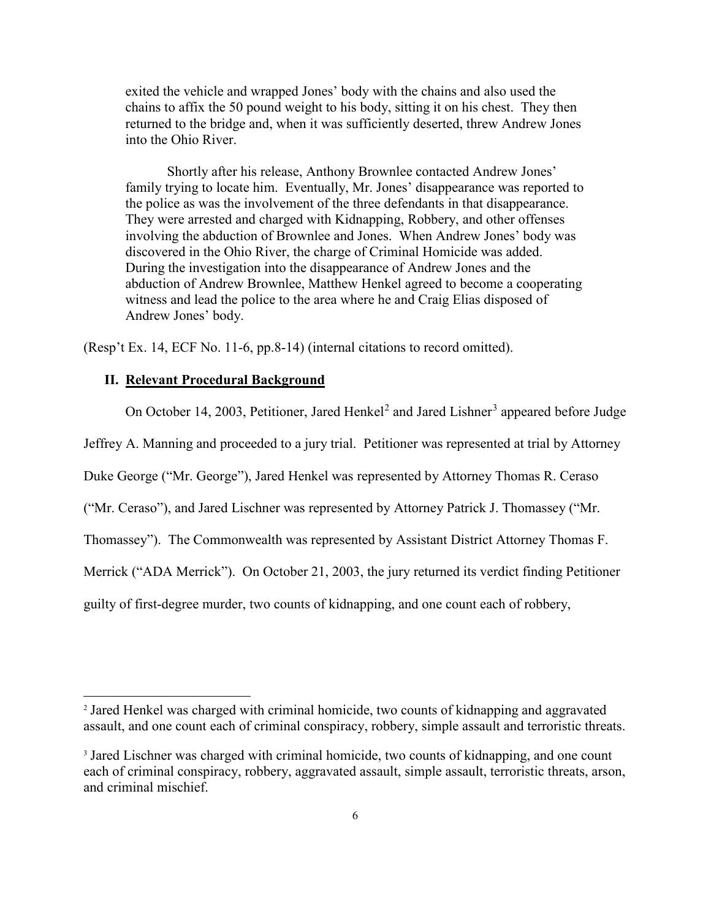exited the vehicle and wrapped Jones' body with the chains and also used the chains to affix the 50 pound weight to his body, sitting it on his chest. They then returned to the bridge and, when it was sufficiently deserted, threw Andrew Jones into the Ohio River.

 Shortly after his release, Anthony Brownlee contacted Andrew Jones' family trying to locate him. Eventually, Mr. Jones' disappearance was reported to the police as was the involvement of the three defendants in that disappearance. They were arrested and charged with Kidnapping, Robbery, and other offenses involving the abduction of Brownlee and Jones. When Andrew Jones' body was discovered in the Ohio River, the charge of Criminal Homicide was added. During the investigation into the disappearance of Andrew Jones and the abduction of Andrew Brownlee, Matthew Henkel agreed to become a cooperating witness and lead the police to the area where he and Craig Elias disposed of Andrew Jones' body.

(Resp't Ex. 14, ECF No. 11-6, pp.8-14) (internal citations to record omitted).

#### **II. Relevant Procedural Background**

 $\overline{a}$ 

On October 14, [2](#page-5-0)00[3](#page-5-1), Petitioner, Jared Henkel<sup>2</sup> and Jared Lishner<sup>3</sup> appeared before Judge

Jeffrey A. Manning and proceeded to a jury trial. Petitioner was represented at trial by Attorney

Duke George ("Mr. George"), Jared Henkel was represented by Attorney Thomas R. Ceraso

("Mr. Ceraso"), and Jared Lischner was represented by Attorney Patrick J. Thomassey ("Mr.

Thomassey"). The Commonwealth was represented by Assistant District Attorney Thomas F.

Merrick ("ADA Merrick"). On October 21, 2003, the jury returned its verdict finding Petitioner

guilty of first-degree murder, two counts of kidnapping, and one count each of robbery,

<span id="page-5-0"></span><sup>2</sup> Jared Henkel was charged with criminal homicide, two counts of kidnapping and aggravated assault, and one count each of criminal conspiracy, robbery, simple assault and terroristic threats.

<span id="page-5-1"></span><sup>&</sup>lt;sup>3</sup> Jared Lischner was charged with criminal homicide, two counts of kidnapping, and one count each of criminal conspiracy, robbery, aggravated assault, simple assault, terroristic threats, arson, and criminal mischief.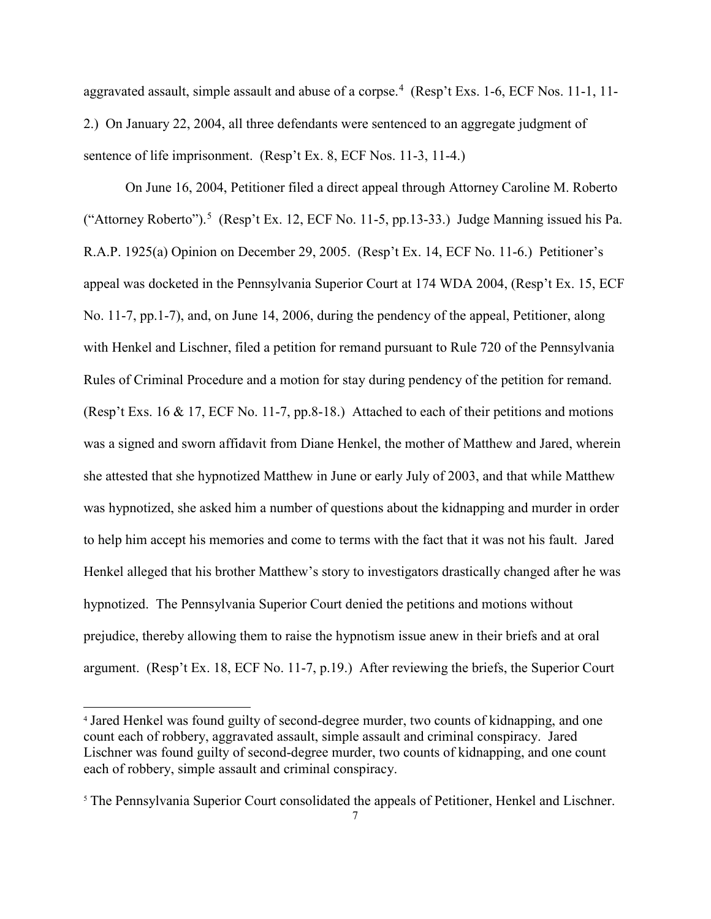aggravated assault, simple assault and abuse of a corpse.<sup>[4](#page-6-0)</sup> (Resp't Exs. 1-6, ECF Nos. 11-1, 11-2.) On January 22, 2004, all three defendants were sentenced to an aggregate judgment of sentence of life imprisonment. (Resp't Ex. 8, ECF Nos. 11-3, 11-4.)

On June 16, 2004, Petitioner filed a direct appeal through Attorney Caroline M. Roberto ("Attorney Roberto").<sup>[5](#page-6-1)</sup> (Resp't Ex. 12, ECF No. 11-5, pp.13-33.) Judge Manning issued his Pa. R.A.P. 1925(a) Opinion on December 29, 2005. (Resp't Ex. 14, ECF No. 11-6.) Petitioner's appeal was docketed in the Pennsylvania Superior Court at 174 WDA 2004, (Resp't Ex. 15, ECF No. 11-7, pp.1-7), and, on June 14, 2006, during the pendency of the appeal, Petitioner, along with Henkel and Lischner, filed a petition for remand pursuant to Rule 720 of the Pennsylvania Rules of Criminal Procedure and a motion for stay during pendency of the petition for remand. (Resp't Exs. 16 & 17, ECF No. 11-7, pp.8-18.) Attached to each of their petitions and motions was a signed and sworn affidavit from Diane Henkel, the mother of Matthew and Jared, wherein she attested that she hypnotized Matthew in June or early July of 2003, and that while Matthew was hypnotized, she asked him a number of questions about the kidnapping and murder in order to help him accept his memories and come to terms with the fact that it was not his fault. Jared Henkel alleged that his brother Matthew's story to investigators drastically changed after he was hypnotized. The Pennsylvania Superior Court denied the petitions and motions without prejudice, thereby allowing them to raise the hypnotism issue anew in their briefs and at oral argument. (Resp't Ex. 18, ECF No. 11-7, p.19.) After reviewing the briefs, the Superior Court

-

<span id="page-6-0"></span><sup>4</sup> Jared Henkel was found guilty of second-degree murder, two counts of kidnapping, and one count each of robbery, aggravated assault, simple assault and criminal conspiracy. Jared Lischner was found guilty of second-degree murder, two counts of kidnapping, and one count each of robbery, simple assault and criminal conspiracy.

<span id="page-6-1"></span><sup>&</sup>lt;sup>5</sup> The Pennsylvania Superior Court consolidated the appeals of Petitioner, Henkel and Lischner.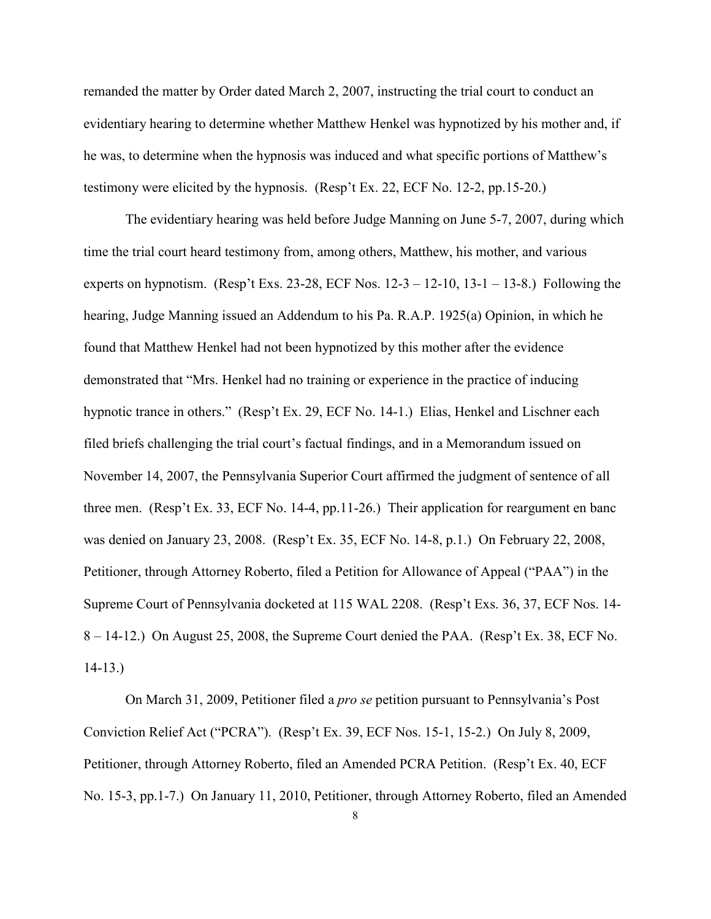remanded the matter by Order dated March 2, 2007, instructing the trial court to conduct an evidentiary hearing to determine whether Matthew Henkel was hypnotized by his mother and, if he was, to determine when the hypnosis was induced and what specific portions of Matthew's testimony were elicited by the hypnosis. (Resp't Ex. 22, ECF No. 12-2, pp.15-20.)

The evidentiary hearing was held before Judge Manning on June 5-7, 2007, during which time the trial court heard testimony from, among others, Matthew, his mother, and various experts on hypnotism. (Resp't Exs. 23-28, ECF Nos.  $12-3-12-10$ ,  $13-1-13-8$ .) Following the hearing, Judge Manning issued an Addendum to his Pa. R.A.P. 1925(a) Opinion, in which he found that Matthew Henkel had not been hypnotized by this mother after the evidence demonstrated that "Mrs. Henkel had no training or experience in the practice of inducing hypnotic trance in others." (Resp't Ex. 29, ECF No. 14-1.) Elias, Henkel and Lischner each filed briefs challenging the trial court's factual findings, and in a Memorandum issued on November 14, 2007, the Pennsylvania Superior Court affirmed the judgment of sentence of all three men. (Resp't Ex. 33, ECF No. 14-4, pp.11-26.) Their application for reargument en banc was denied on January 23, 2008. (Resp't Ex. 35, ECF No. 14-8, p.1.) On February 22, 2008, Petitioner, through Attorney Roberto, filed a Petition for Allowance of Appeal ("PAA") in the Supreme Court of Pennsylvania docketed at 115 WAL 2208. (Resp't Exs. 36, 37, ECF Nos. 14- 8 – 14-12.) On August 25, 2008, the Supreme Court denied the PAA. (Resp't Ex. 38, ECF No. 14-13.)

On March 31, 2009, Petitioner filed a *pro se* petition pursuant to Pennsylvania's Post Conviction Relief Act ("PCRA"). (Resp't Ex. 39, ECF Nos. 15-1, 15-2.) On July 8, 2009, Petitioner, through Attorney Roberto, filed an Amended PCRA Petition. (Resp't Ex. 40, ECF No. 15-3, pp.1-7.) On January 11, 2010, Petitioner, through Attorney Roberto, filed an Amended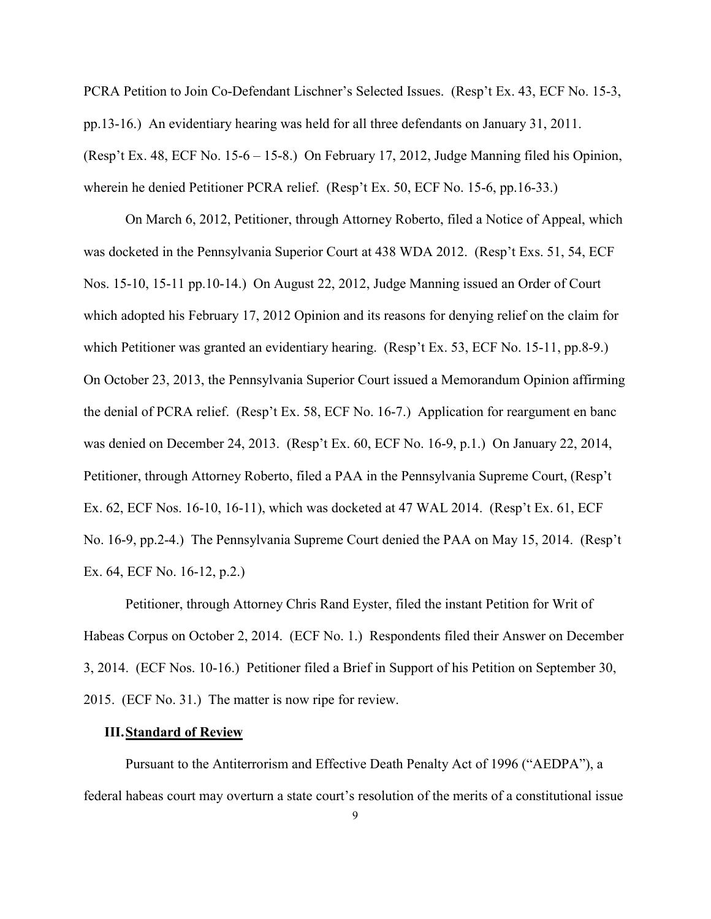PCRA Petition to Join Co-Defendant Lischner's Selected Issues. (Resp't Ex. 43, ECF No. 15-3, pp.13-16.) An evidentiary hearing was held for all three defendants on January 31, 2011. (Resp't Ex. 48, ECF No. 15-6 – 15-8.) On February 17, 2012, Judge Manning filed his Opinion, wherein he denied Petitioner PCRA relief. (Resp't Ex. 50, ECF No. 15-6, pp.16-33.)

On March 6, 2012, Petitioner, through Attorney Roberto, filed a Notice of Appeal, which was docketed in the Pennsylvania Superior Court at 438 WDA 2012. (Resp't Exs. 51, 54, ECF Nos. 15-10, 15-11 pp.10-14.) On August 22, 2012, Judge Manning issued an Order of Court which adopted his February 17, 2012 Opinion and its reasons for denying relief on the claim for which Petitioner was granted an evidentiary hearing. (Resp't Ex. 53, ECF No. 15-11, pp.8-9.) On October 23, 2013, the Pennsylvania Superior Court issued a Memorandum Opinion affirming the denial of PCRA relief. (Resp't Ex. 58, ECF No. 16-7.) Application for reargument en banc was denied on December 24, 2013. (Resp't Ex. 60, ECF No. 16-9, p.1.) On January 22, 2014, Petitioner, through Attorney Roberto, filed a PAA in the Pennsylvania Supreme Court, (Resp't Ex. 62, ECF Nos. 16-10, 16-11), which was docketed at 47 WAL 2014. (Resp't Ex. 61, ECF No. 16-9, pp.2-4.) The Pennsylvania Supreme Court denied the PAA on May 15, 2014. (Resp't Ex. 64, ECF No. 16-12, p.2.)

Petitioner, through Attorney Chris Rand Eyster, filed the instant Petition for Writ of Habeas Corpus on October 2, 2014. (ECF No. 1.) Respondents filed their Answer on December 3, 2014. (ECF Nos. 10-16.) Petitioner filed a Brief in Support of his Petition on September 30, 2015. (ECF No. 31.) The matter is now ripe for review.

### **III.Standard of Review**

Pursuant to the Antiterrorism and Effective Death Penalty Act of 1996 ("AEDPA"), a federal habeas court may overturn a state court's resolution of the merits of a constitutional issue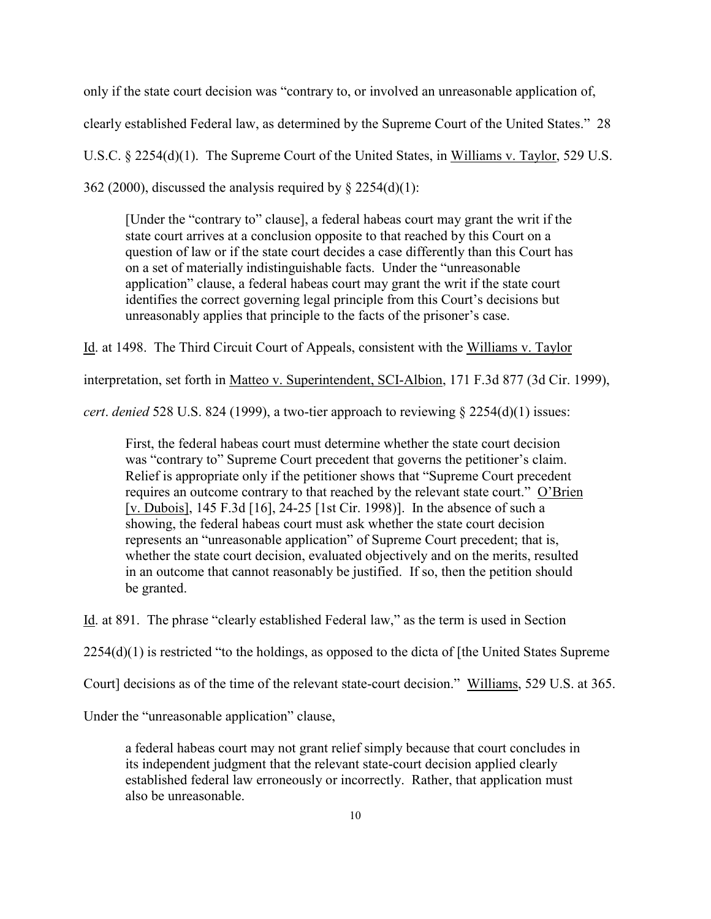only if the state court decision was "contrary to, or involved an unreasonable application of,

clearly established Federal law, as determined by the Supreme Court of the United States." 28

U.S.C. § 2254(d)(1). The Supreme Court of the United States, in Williams v. Taylor, 529 U.S.

362 (2000), discussed the analysis required by  $\S$  2254(d)(1):

[Under the "contrary to" clause], a federal habeas court may grant the writ if the state court arrives at a conclusion opposite to that reached by this Court on a question of law or if the state court decides a case differently than this Court has on a set of materially indistinguishable facts. Under the "unreasonable application" clause, a federal habeas court may grant the writ if the state court identifies the correct governing legal principle from this Court's decisions but unreasonably applies that principle to the facts of the prisoner's case.

Id. at 1498. The Third Circuit Court of Appeals, consistent with the Williams v. Taylor

interpretation, set forth in Matteo v. Superintendent, SCI-Albion, 171 F.3d 877 (3d Cir. 1999),

*cert*. *denied* 528 U.S. 824 (1999), a two-tier approach to reviewing § 2254(d)(1) issues:

First, the federal habeas court must determine whether the state court decision was "contrary to" Supreme Court precedent that governs the petitioner's claim. Relief is appropriate only if the petitioner shows that "Supreme Court precedent requires an outcome contrary to that reached by the relevant state court." O'Brien [v. Dubois], 145 F.3d [16], 24-25 [1st Cir. 1998)]. In the absence of such a showing, the federal habeas court must ask whether the state court decision represents an "unreasonable application" of Supreme Court precedent; that is, whether the state court decision, evaluated objectively and on the merits, resulted in an outcome that cannot reasonably be justified. If so, then the petition should be granted.

Id. at 891. The phrase "clearly established Federal law," as the term is used in Section

2254(d)(1) is restricted "to the holdings, as opposed to the dicta of [the United States Supreme

Court] decisions as of the time of the relevant state-court decision." Williams, 529 U.S. at 365.

Under the "unreasonable application" clause,

a federal habeas court may not grant relief simply because that court concludes in its independent judgment that the relevant state-court decision applied clearly established federal law erroneously or incorrectly. Rather, that application must also be unreasonable.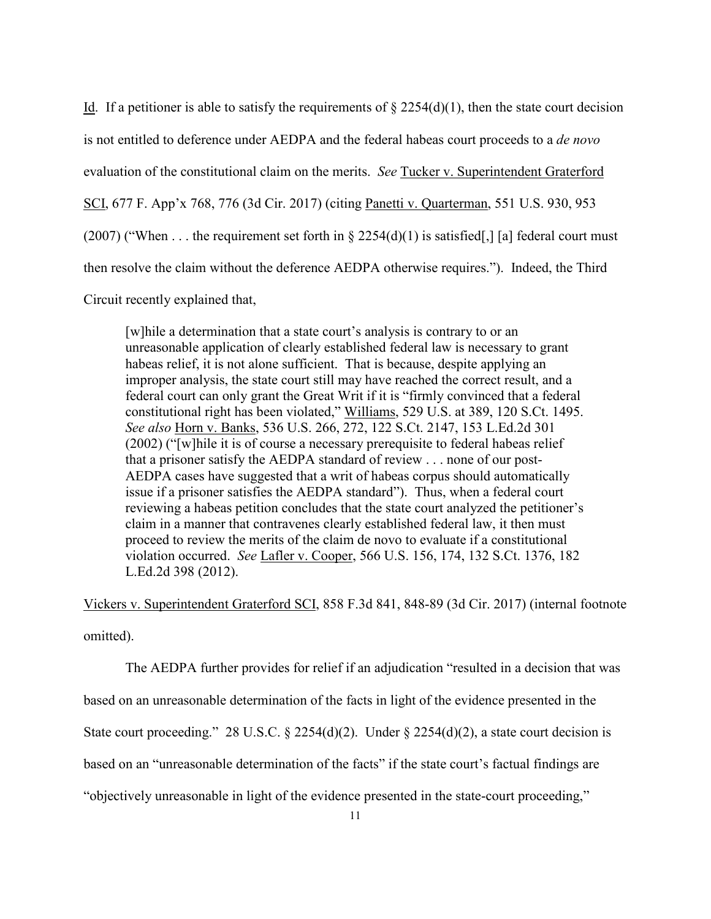Id. If a petitioner is able to satisfy the requirements of  $\S 2254(d)(1)$ , then the state court decision is not entitled to deference under AEDPA and the federal habeas court proceeds to a *de novo* evaluation of the constitutional claim on the merits. *See* Tucker v. Superintendent Graterford SCI, 677 F. App'x 768, 776 (3d Cir. 2017) (citing Panetti v. Quarterman, 551 U.S. 930, 953 (2007) ("When ... the requirement set forth in  $\S 2254(d)(1)$  is satisfied[,] [a] federal court must then resolve the claim without the deference AEDPA otherwise requires."). Indeed, the Third

Circuit recently explained that,

[w]hile a determination that a state court's analysis is contrary to or an unreasonable application of clearly established federal law is necessary to grant habeas relief, it is not alone sufficient. That is because, despite applying an improper analysis, the state court still may have reached the correct result, and a federal court can only grant the Great Writ if it is "firmly convinced that a federal constitutional right has been violated," Williams, 529 U.S. at 389, 120 S.Ct. 1495. *See also* Horn v. Banks, 536 U.S. 266, 272, 122 S.Ct. 2147, 153 L.Ed.2d 301 (2002) ("[w]hile it is of course a necessary prerequisite to federal habeas relief that a prisoner satisfy the AEDPA standard of review . . . none of our post-AEDPA cases have suggested that a writ of habeas corpus should automatically issue if a prisoner satisfies the AEDPA standard"). Thus, when a federal court reviewing a habeas petition concludes that the state court analyzed the petitioner's claim in a manner that contravenes clearly established federal law, it then must proceed to review the merits of the claim de novo to evaluate if a constitutional violation occurred. *See* Lafler v. Cooper, 566 U.S. 156, 174, 132 S.Ct. 1376, 182 L.Ed.2d 398 (2012).

Vickers v. Superintendent Graterford SCI, 858 F.3d 841, 848-89 (3d Cir. 2017) (internal footnote omitted).

The AEDPA further provides for relief if an adjudication "resulted in a decision that was

based on an unreasonable determination of the facts in light of the evidence presented in the

State court proceeding." 28 U.S.C. § 2254(d)(2). Under § 2254(d)(2), a state court decision is

based on an "unreasonable determination of the facts" if the state court's factual findings are

"objectively unreasonable in light of the evidence presented in the state-court proceeding,"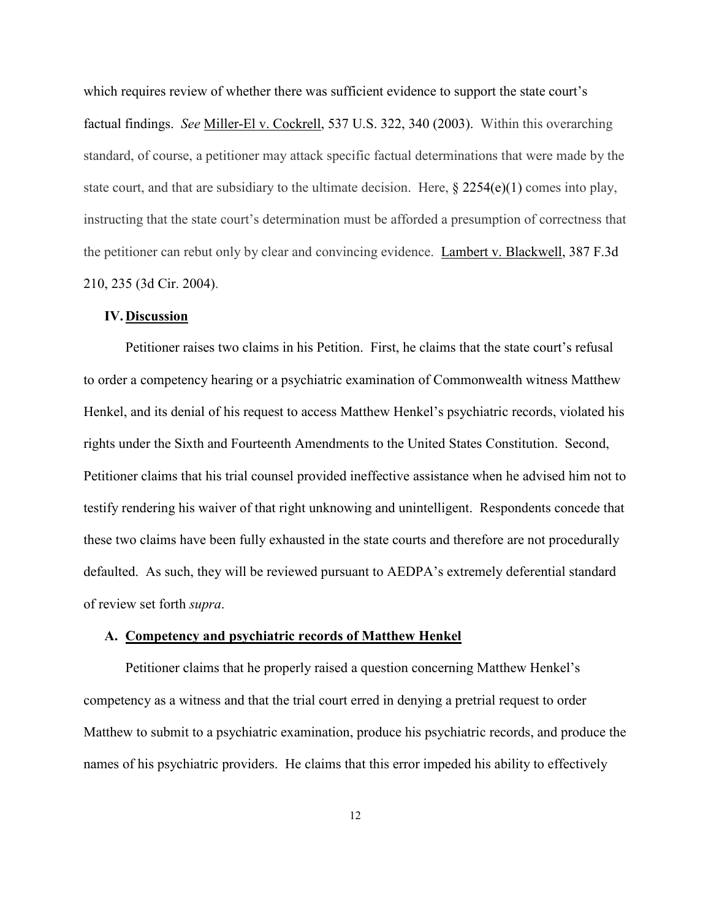which requires review of whether there was sufficient evidence to support the state court's factual findings. *See* Miller-El v. Cockrell, 537 U.S. 322, 340 (2003). Within this overarching standard, of course, a petitioner may attack specific factual determinations that were made by the state court, and that are subsidiary to the ultimate decision. Here,  $\S 2254(e)(1)$  comes into play, instructing that the state court's determination must be afforded a presumption of correctness that the petitioner can rebut only by clear and convincing evidence. Lambert v. Blackwell, 387 F.3d 210, 235 (3d Cir. 2004).

### **IV.Discussion**

Petitioner raises two claims in his Petition. First, he claims that the state court's refusal to order a competency hearing or a psychiatric examination of Commonwealth witness Matthew Henkel, and its denial of his request to access Matthew Henkel's psychiatric records, violated his rights under the Sixth and Fourteenth Amendments to the United States Constitution. Second, Petitioner claims that his trial counsel provided ineffective assistance when he advised him not to testify rendering his waiver of that right unknowing and unintelligent. Respondents concede that these two claims have been fully exhausted in the state courts and therefore are not procedurally defaulted. As such, they will be reviewed pursuant to AEDPA's extremely deferential standard of review set forth *supra*.

#### **A. Competency and psychiatric records of Matthew Henkel**

Petitioner claims that he properly raised a question concerning Matthew Henkel's competency as a witness and that the trial court erred in denying a pretrial request to order Matthew to submit to a psychiatric examination, produce his psychiatric records, and produce the names of his psychiatric providers. He claims that this error impeded his ability to effectively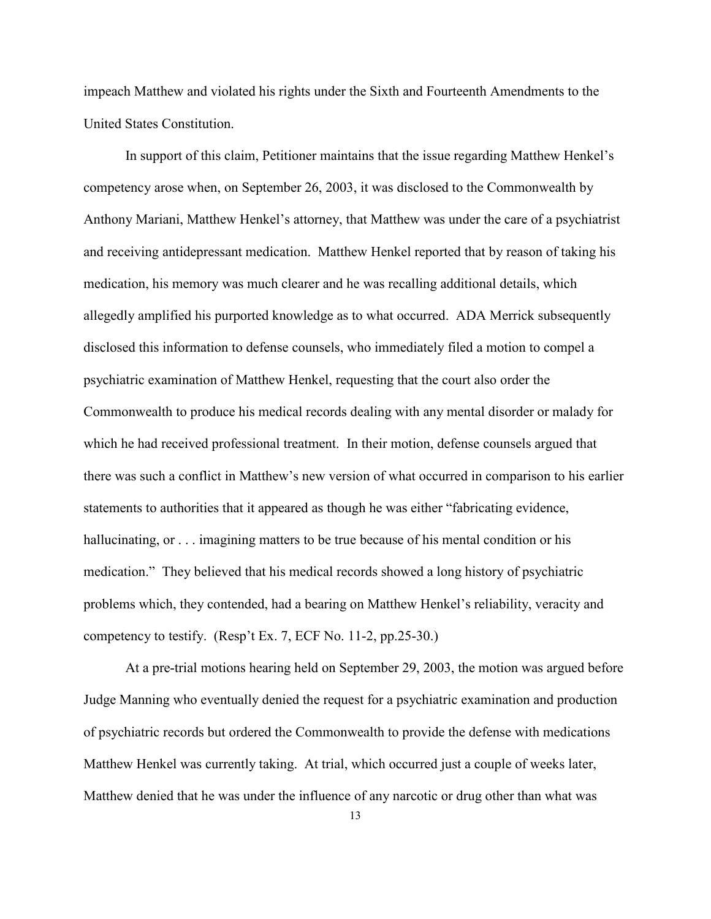impeach Matthew and violated his rights under the Sixth and Fourteenth Amendments to the United States Constitution.

In support of this claim, Petitioner maintains that the issue regarding Matthew Henkel's competency arose when, on September 26, 2003, it was disclosed to the Commonwealth by Anthony Mariani, Matthew Henkel's attorney, that Matthew was under the care of a psychiatrist and receiving antidepressant medication. Matthew Henkel reported that by reason of taking his medication, his memory was much clearer and he was recalling additional details, which allegedly amplified his purported knowledge as to what occurred. ADA Merrick subsequently disclosed this information to defense counsels, who immediately filed a motion to compel a psychiatric examination of Matthew Henkel, requesting that the court also order the Commonwealth to produce his medical records dealing with any mental disorder or malady for which he had received professional treatment. In their motion, defense counsels argued that there was such a conflict in Matthew's new version of what occurred in comparison to his earlier statements to authorities that it appeared as though he was either "fabricating evidence, hallucinating, or  $\ldots$  imagining matters to be true because of his mental condition or his medication." They believed that his medical records showed a long history of psychiatric problems which, they contended, had a bearing on Matthew Henkel's reliability, veracity and competency to testify. (Resp't Ex. 7, ECF No. 11-2, pp.25-30.)

At a pre-trial motions hearing held on September 29, 2003, the motion was argued before Judge Manning who eventually denied the request for a psychiatric examination and production of psychiatric records but ordered the Commonwealth to provide the defense with medications Matthew Henkel was currently taking. At trial, which occurred just a couple of weeks later, Matthew denied that he was under the influence of any narcotic or drug other than what was

13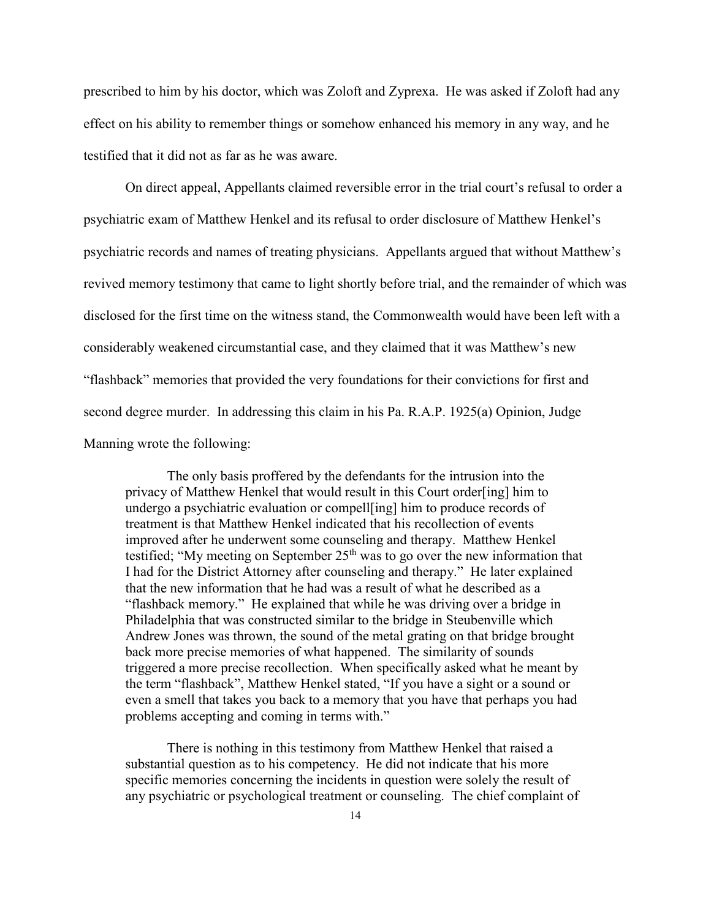prescribed to him by his doctor, which was Zoloft and Zyprexa. He was asked if Zoloft had any effect on his ability to remember things or somehow enhanced his memory in any way, and he testified that it did not as far as he was aware.

On direct appeal, Appellants claimed reversible error in the trial court's refusal to order a psychiatric exam of Matthew Henkel and its refusal to order disclosure of Matthew Henkel's psychiatric records and names of treating physicians. Appellants argued that without Matthew's revived memory testimony that came to light shortly before trial, and the remainder of which was disclosed for the first time on the witness stand, the Commonwealth would have been left with a considerably weakened circumstantial case, and they claimed that it was Matthew's new "flashback" memories that provided the very foundations for their convictions for first and second degree murder. In addressing this claim in his Pa. R.A.P. 1925(a) Opinion, Judge Manning wrote the following:

The only basis proffered by the defendants for the intrusion into the privacy of Matthew Henkel that would result in this Court order[ing] him to undergo a psychiatric evaluation or compell[ing] him to produce records of treatment is that Matthew Henkel indicated that his recollection of events improved after he underwent some counseling and therapy. Matthew Henkel testified; "My meeting on September  $25<sup>th</sup>$  was to go over the new information that I had for the District Attorney after counseling and therapy." He later explained that the new information that he had was a result of what he described as a "flashback memory." He explained that while he was driving over a bridge in Philadelphia that was constructed similar to the bridge in Steubenville which Andrew Jones was thrown, the sound of the metal grating on that bridge brought back more precise memories of what happened. The similarity of sounds triggered a more precise recollection. When specifically asked what he meant by the term "flashback", Matthew Henkel stated, "If you have a sight or a sound or even a smell that takes you back to a memory that you have that perhaps you had problems accepting and coming in terms with."

There is nothing in this testimony from Matthew Henkel that raised a substantial question as to his competency. He did not indicate that his more specific memories concerning the incidents in question were solely the result of any psychiatric or psychological treatment or counseling. The chief complaint of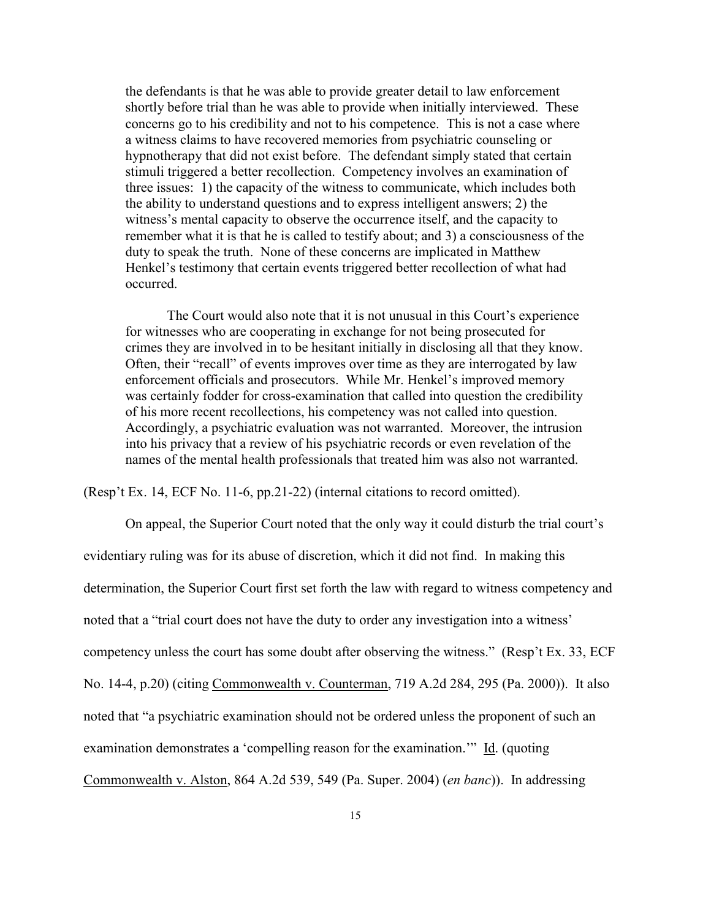the defendants is that he was able to provide greater detail to law enforcement shortly before trial than he was able to provide when initially interviewed. These concerns go to his credibility and not to his competence. This is not a case where a witness claims to have recovered memories from psychiatric counseling or hypnotherapy that did not exist before. The defendant simply stated that certain stimuli triggered a better recollection. Competency involves an examination of three issues: 1) the capacity of the witness to communicate, which includes both the ability to understand questions and to express intelligent answers; 2) the witness's mental capacity to observe the occurrence itself, and the capacity to remember what it is that he is called to testify about; and 3) a consciousness of the duty to speak the truth. None of these concerns are implicated in Matthew Henkel's testimony that certain events triggered better recollection of what had occurred.

 The Court would also note that it is not unusual in this Court's experience for witnesses who are cooperating in exchange for not being prosecuted for crimes they are involved in to be hesitant initially in disclosing all that they know. Often, their "recall" of events improves over time as they are interrogated by law enforcement officials and prosecutors. While Mr. Henkel's improved memory was certainly fodder for cross-examination that called into question the credibility of his more recent recollections, his competency was not called into question. Accordingly, a psychiatric evaluation was not warranted. Moreover, the intrusion into his privacy that a review of his psychiatric records or even revelation of the names of the mental health professionals that treated him was also not warranted.

(Resp't Ex. 14, ECF No. 11-6, pp.21-22) (internal citations to record omitted).

On appeal, the Superior Court noted that the only way it could disturb the trial court's evidentiary ruling was for its abuse of discretion, which it did not find. In making this determination, the Superior Court first set forth the law with regard to witness competency and noted that a "trial court does not have the duty to order any investigation into a witness' competency unless the court has some doubt after observing the witness." (Resp't Ex. 33, ECF No. 14-4, p.20) (citing Commonwealth v. Counterman, 719 A.2d 284, 295 (Pa. 2000)). It also noted that "a psychiatric examination should not be ordered unless the proponent of such an examination demonstrates a 'compelling reason for the examination.'" Id. (quoting Commonwealth v. Alston, 864 A.2d 539, 549 (Pa. Super. 2004) (*en banc*)). In addressing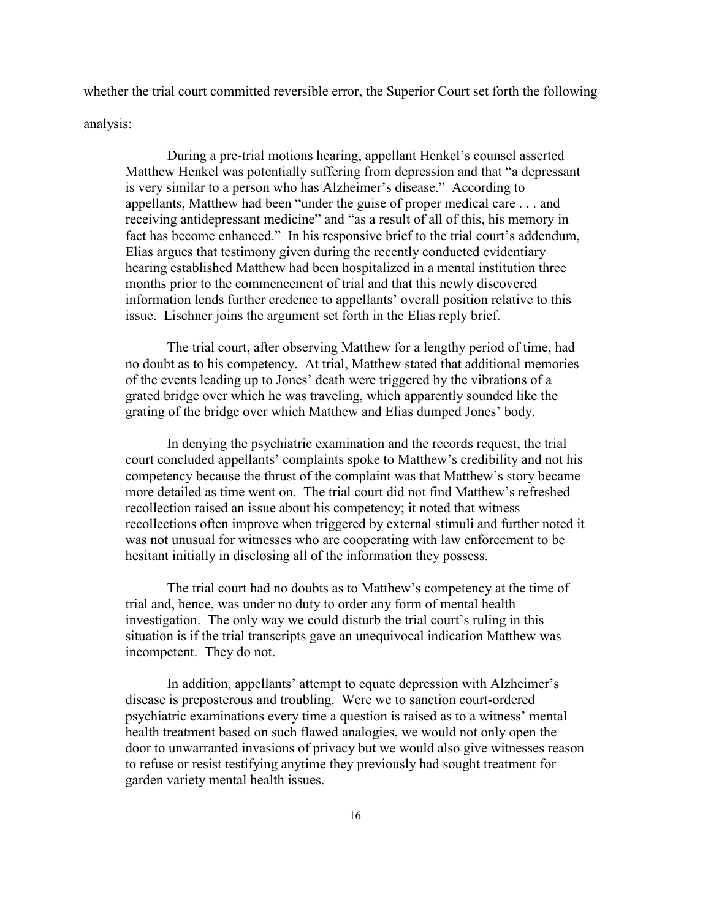whether the trial court committed reversible error, the Superior Court set forth the following analysis:

 During a pre-trial motions hearing, appellant Henkel's counsel asserted Matthew Henkel was potentially suffering from depression and that "a depressant is very similar to a person who has Alzheimer's disease." According to appellants, Matthew had been "under the guise of proper medical care . . . and receiving antidepressant medicine" and "as a result of all of this, his memory in fact has become enhanced." In his responsive brief to the trial court's addendum, Elias argues that testimony given during the recently conducted evidentiary hearing established Matthew had been hospitalized in a mental institution three months prior to the commencement of trial and that this newly discovered information lends further credence to appellants' overall position relative to this issue. Lischner joins the argument set forth in the Elias reply brief.

The trial court, after observing Matthew for a lengthy period of time, had no doubt as to his competency. At trial, Matthew stated that additional memories of the events leading up to Jones' death were triggered by the vibrations of a grated bridge over which he was traveling, which apparently sounded like the grating of the bridge over which Matthew and Elias dumped Jones' body.

 In denying the psychiatric examination and the records request, the trial court concluded appellants' complaints spoke to Matthew's credibility and not his competency because the thrust of the complaint was that Matthew's story became more detailed as time went on. The trial court did not find Matthew's refreshed recollection raised an issue about his competency; it noted that witness recollections often improve when triggered by external stimuli and further noted it was not unusual for witnesses who are cooperating with law enforcement to be hesitant initially in disclosing all of the information they possess.

 The trial court had no doubts as to Matthew's competency at the time of trial and, hence, was under no duty to order any form of mental health investigation. The only way we could disturb the trial court's ruling in this situation is if the trial transcripts gave an unequivocal indication Matthew was incompetent. They do not.

 In addition, appellants' attempt to equate depression with Alzheimer's disease is preposterous and troubling. Were we to sanction court-ordered psychiatric examinations every time a question is raised as to a witness' mental health treatment based on such flawed analogies, we would not only open the door to unwarranted invasions of privacy but we would also give witnesses reason to refuse or resist testifying anytime they previously had sought treatment for garden variety mental health issues.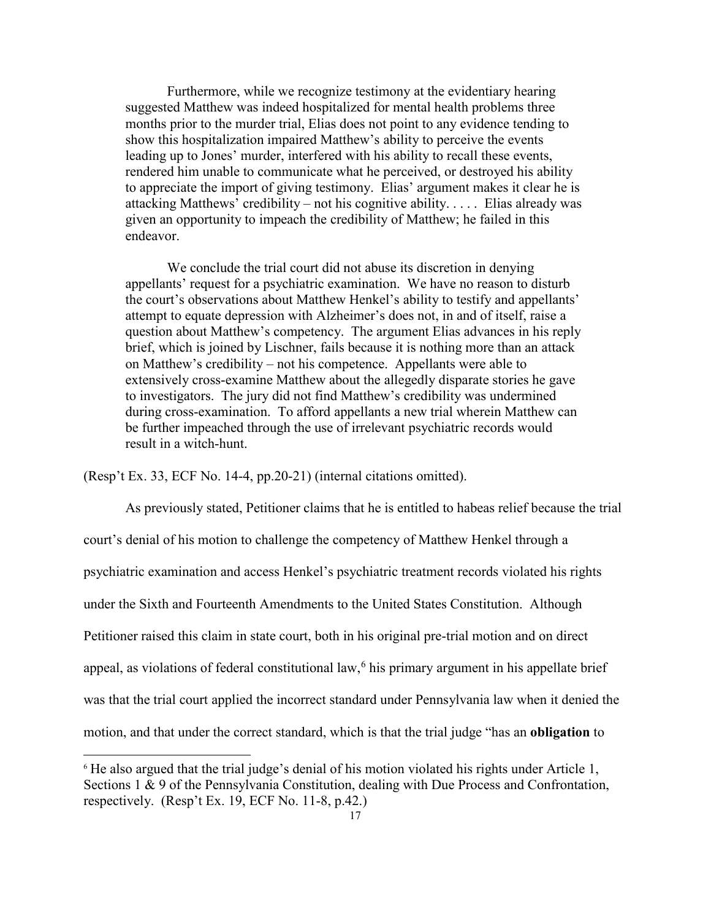Furthermore, while we recognize testimony at the evidentiary hearing suggested Matthew was indeed hospitalized for mental health problems three months prior to the murder trial, Elias does not point to any evidence tending to show this hospitalization impaired Matthew's ability to perceive the events leading up to Jones' murder, interfered with his ability to recall these events, rendered him unable to communicate what he perceived, or destroyed his ability to appreciate the import of giving testimony. Elias' argument makes it clear he is attacking Matthews' credibility – not his cognitive ability. . . . . Elias already was given an opportunity to impeach the credibility of Matthew; he failed in this endeavor.

We conclude the trial court did not abuse its discretion in denying appellants' request for a psychiatric examination. We have no reason to disturb the court's observations about Matthew Henkel's ability to testify and appellants' attempt to equate depression with Alzheimer's does not, in and of itself, raise a question about Matthew's competency. The argument Elias advances in his reply brief, which is joined by Lischner, fails because it is nothing more than an attack on Matthew's credibility – not his competence. Appellants were able to extensively cross-examine Matthew about the allegedly disparate stories he gave to investigators. The jury did not find Matthew's credibility was undermined during cross-examination. To afford appellants a new trial wherein Matthew can be further impeached through the use of irrelevant psychiatric records would result in a witch-hunt.

(Resp't Ex. 33, ECF No. 14-4, pp.20-21) (internal citations omitted).

1

 As previously stated, Petitioner claims that he is entitled to habeas relief because the trial court's denial of his motion to challenge the competency of Matthew Henkel through a psychiatric examination and access Henkel's psychiatric treatment records violated his rights under the Sixth and Fourteenth Amendments to the United States Constitution. Although Petitioner raised this claim in state court, both in his original pre-trial motion and on direct appeal, as violations of federal constitutional law,  $6$  his primary argument in his appellate brief was that the trial court applied the incorrect standard under Pennsylvania law when it denied the motion, and that under the correct standard, which is that the trial judge "has an **obligation** to

<span id="page-16-0"></span><sup>&</sup>lt;sup>6</sup> He also argued that the trial judge's denial of his motion violated his rights under Article 1, Sections 1 & 9 of the Pennsylvania Constitution, dealing with Due Process and Confrontation, respectively. (Resp't Ex. 19, ECF No. 11-8, p.42.)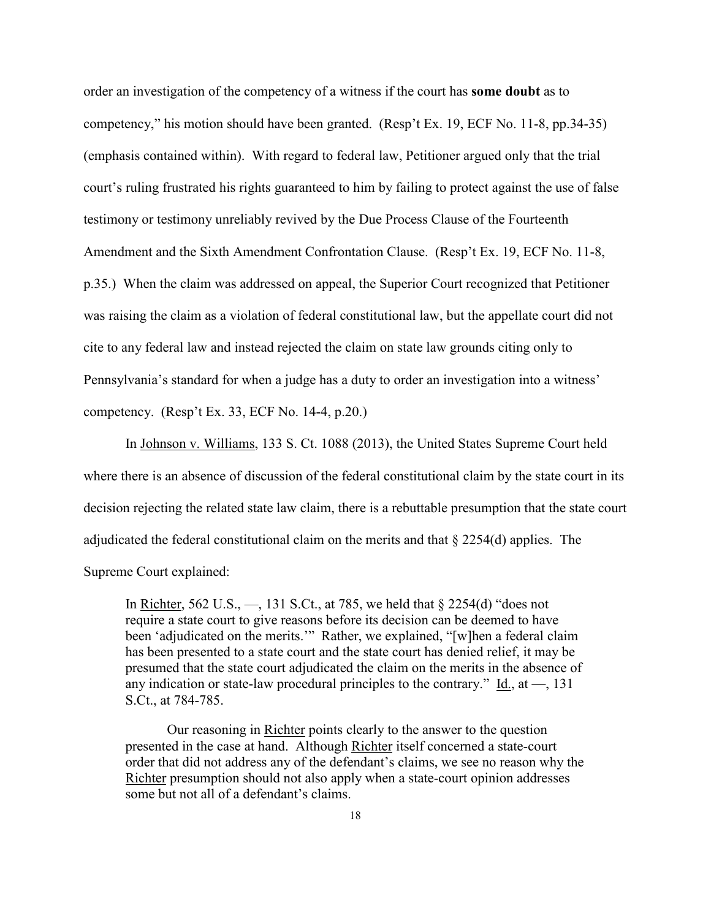order an investigation of the competency of a witness if the court has **some doubt** as to competency," his motion should have been granted. (Resp't Ex. 19, ECF No. 11-8, pp.34-35) (emphasis contained within). With regard to federal law, Petitioner argued only that the trial court's ruling frustrated his rights guaranteed to him by failing to protect against the use of false testimony or testimony unreliably revived by the Due Process Clause of the Fourteenth Amendment and the Sixth Amendment Confrontation Clause. (Resp't Ex. 19, ECF No. 11-8, p.35.) When the claim was addressed on appeal, the Superior Court recognized that Petitioner was raising the claim as a violation of federal constitutional law, but the appellate court did not cite to any federal law and instead rejected the claim on state law grounds citing only to Pennsylvania's standard for when a judge has a duty to order an investigation into a witness' competency. (Resp't Ex. 33, ECF No. 14-4, p.20.)

In Johnson v. Williams, 133 S. Ct. 1088 (2013), the United States Supreme Court held where there is an absence of discussion of the federal constitutional claim by the state court in its decision rejecting the related state law claim, there is a rebuttable presumption that the state court adjudicated the federal constitutional claim on the merits and that § 2254(d) applies. The Supreme Court explained:

In Richter, 562 U.S., —, 131 S.Ct., at 785, we held that § 2254(d) "does not require a state court to give reasons before its decision can be deemed to have been 'adjudicated on the merits.'" Rather, we explained, "[w]hen a federal claim has been presented to a state court and the state court has denied relief, it may be presumed that the state court adjudicated the claim on the merits in the absence of any indication or state-law procedural principles to the contrary." Id., at  $-$ , 131 S.Ct., at 784-785.

 Our reasoning in Richter points clearly to the answer to the question presented in the case at hand. Although Richter itself concerned a state-court order that did not address any of the defendant's claims, we see no reason why the Richter presumption should not also apply when a state-court opinion addresses some but not all of a defendant's claims.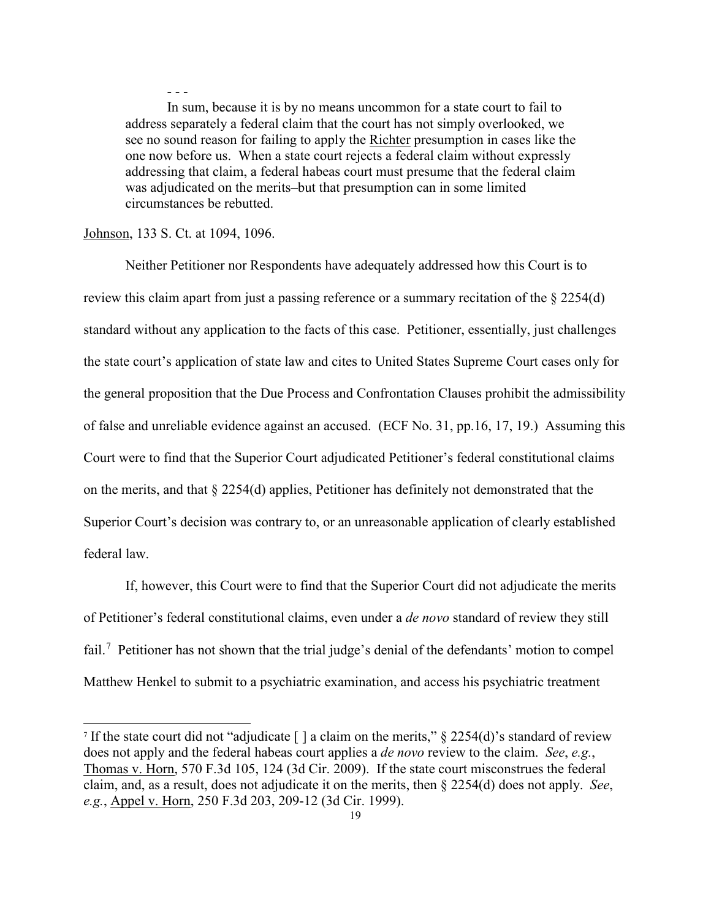- - - In sum, because it is by no means uncommon for a state court to fail to address separately a federal claim that the court has not simply overlooked, we see no sound reason for failing to apply the Richter presumption in cases like the one now before us. When a state court rejects a federal claim without expressly addressing that claim, a federal habeas court must presume that the federal claim was adjudicated on the merits–but that presumption can in some limited circumstances be rebutted.

#### Johnson, 133 S. Ct. at 1094, 1096.

-

 Neither Petitioner nor Respondents have adequately addressed how this Court is to review this claim apart from just a passing reference or a summary recitation of the § 2254(d) standard without any application to the facts of this case. Petitioner, essentially, just challenges the state court's application of state law and cites to United States Supreme Court cases only for the general proposition that the Due Process and Confrontation Clauses prohibit the admissibility of false and unreliable evidence against an accused. (ECF No. 31, pp.16, 17, 19.) Assuming this Court were to find that the Superior Court adjudicated Petitioner's federal constitutional claims on the merits, and that § 2254(d) applies, Petitioner has definitely not demonstrated that the Superior Court's decision was contrary to, or an unreasonable application of clearly established federal law.

 If, however, this Court were to find that the Superior Court did not adjudicate the merits of Petitioner's federal constitutional claims, even under a *de novo* standard of review they still fail.<sup>[7](#page-18-0)</sup> Petitioner has not shown that the trial judge's denial of the defendants' motion to compel Matthew Henkel to submit to a psychiatric examination, and access his psychiatric treatment

<span id="page-18-0"></span><sup>&</sup>lt;sup>7</sup> If the state court did not "adjudicate [ ] a claim on the merits,"  $\S$  2254(d)'s standard of review does not apply and the federal habeas court applies a *de novo* review to the claim. *See*, *e.g.*, Thomas v. Horn, 570 F.3d 105, 124 (3d Cir. 2009). If the state court misconstrues the federal claim, and, as a result, does not adjudicate it on the merits, then § 2254(d) does not apply. *See*, *e.g.*, Appel v. Horn, 250 F.3d 203, 209-12 (3d Cir. 1999).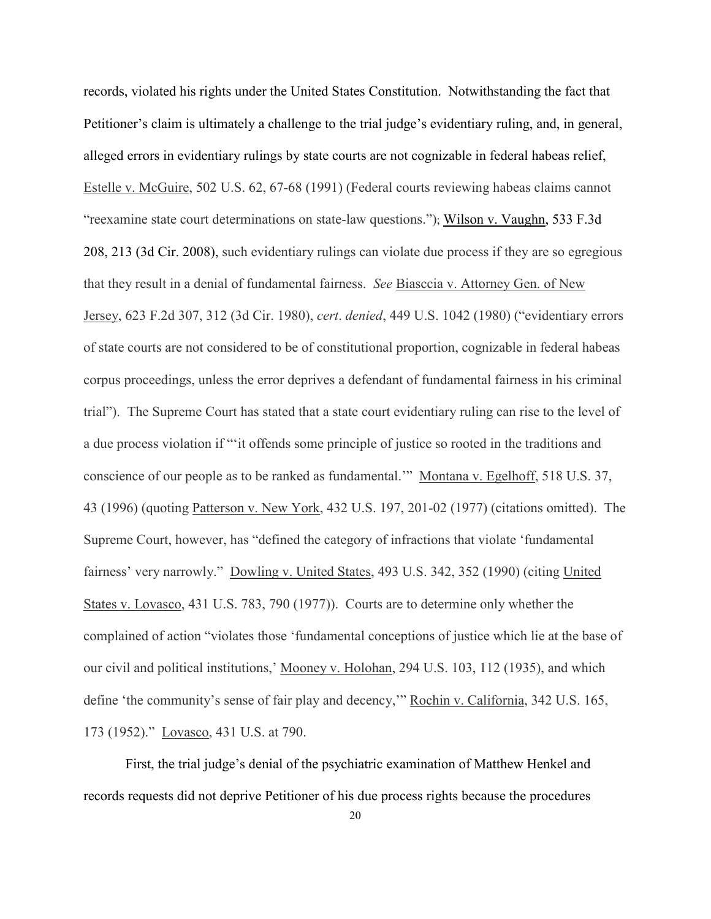records, violated his rights under the United States Constitution. Notwithstanding the fact that Petitioner's claim is ultimately a challenge to the trial judge's evidentiary ruling, and, in general, alleged errors in evidentiary rulings by state courts are not cognizable in federal habeas relief, Estelle v. McGuire, 502 U.S. 62, 67-68 (1991) (Federal courts reviewing habeas claims cannot "reexamine state court determinations on state-law questions."); Wilson v. Vaughn, 533 F.3d 208, 213 (3d Cir. 2008), such evidentiary rulings can violate due process if they are so egregious that they result in a denial of fundamental fairness. *See* Biasccia v. Attorney Gen. of New Jersey, 623 F.2d 307, 312 (3d Cir. 1980), *cert*. *denied*, 449 U.S. 1042 (1980) ("evidentiary errors of state courts are not considered to be of constitutional proportion, cognizable in federal habeas corpus proceedings, unless the error deprives a defendant of fundamental fairness in his criminal trial"). The Supreme Court has stated that a state court evidentiary ruling can rise to the level of a due process violation if "'it offends some principle of justice so rooted in the traditions and conscience of our people as to be ranked as fundamental.'" Montana v. Egelhoff, 518 U.S. 37, 43 (1996) (quoting Patterson v. New York, 432 U.S. 197, 201-02 (1977) (citations omitted). The Supreme Court, however, has "defined the category of infractions that violate 'fundamental fairness' very narrowly." Dowling v. United States, 493 U.S. 342, 352 (1990) (citing United States v. Lovasco, 431 U.S. 783, 790 (1977)). Courts are to determine only whether the complained of action "violates those 'fundamental conceptions of justice which lie at the base of our civil and political institutions,' Mooney v. Holohan, 294 U.S. 103, 112 (1935), and which define 'the community's sense of fair play and decency,'" Rochin v. California, 342 U.S. 165, 173 (1952)." Lovasco, 431 U.S. at 790.

First, the trial judge's denial of the psychiatric examination of Matthew Henkel and records requests did not deprive Petitioner of his due process rights because the procedures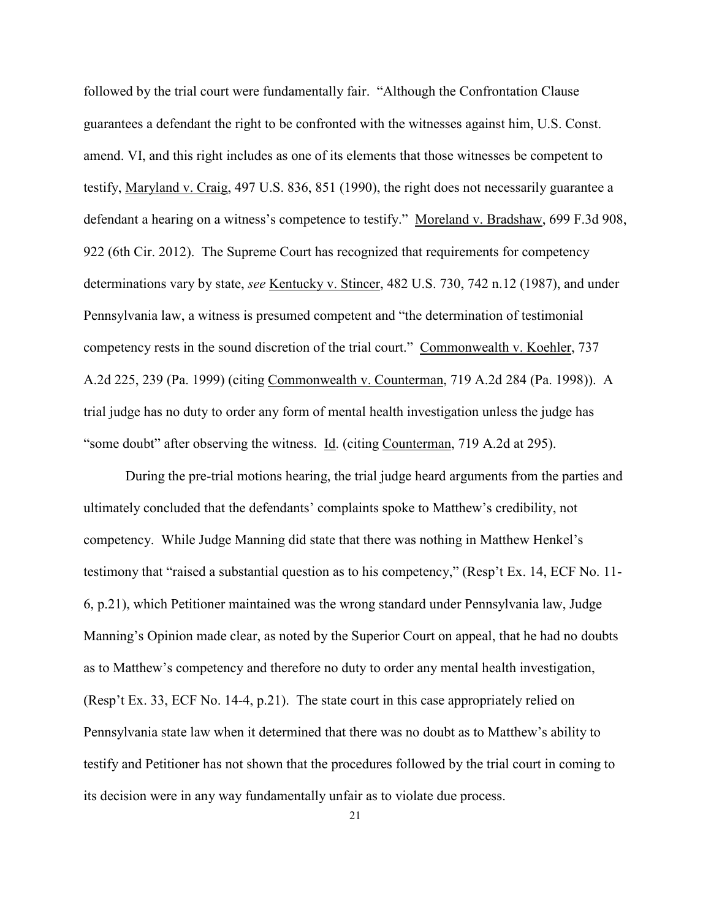followed by the trial court were fundamentally fair. "Although the Confrontation Clause guarantees a defendant the right to be confronted with the witnesses against him, U.S. Const. amend. VI, and this right includes as one of its elements that those witnesses be competent to testify, Maryland v. Craig, 497 U.S. 836, 851 (1990), the right does not necessarily guarantee a defendant a hearing on a witness's competence to testify." Moreland v. Bradshaw, 699 F.3d 908, 922 (6th Cir. 2012). The Supreme Court has recognized that requirements for competency determinations vary by state, *see* Kentucky v. Stincer, 482 U.S. 730, 742 n.12 (1987), and under Pennsylvania law, a witness is presumed competent and "the determination of testimonial competency rests in the sound discretion of the trial court." Commonwealth v. Koehler, 737 A.2d 225, 239 (Pa. 1999) (citing Commonwealth v. Counterman, 719 A.2d 284 (Pa. 1998)). A trial judge has no duty to order any form of mental health investigation unless the judge has "some doubt" after observing the witness. Id. (citing Counterman, 719 A.2d at 295).

During the pre-trial motions hearing, the trial judge heard arguments from the parties and ultimately concluded that the defendants' complaints spoke to Matthew's credibility, not competency. While Judge Manning did state that there was nothing in Matthew Henkel's testimony that "raised a substantial question as to his competency," (Resp't Ex. 14, ECF No. 11- 6, p.21), which Petitioner maintained was the wrong standard under Pennsylvania law, Judge Manning's Opinion made clear, as noted by the Superior Court on appeal, that he had no doubts as to Matthew's competency and therefore no duty to order any mental health investigation, (Resp't Ex. 33, ECF No. 14-4, p.21). The state court in this case appropriately relied on Pennsylvania state law when it determined that there was no doubt as to Matthew's ability to testify and Petitioner has not shown that the procedures followed by the trial court in coming to its decision were in any way fundamentally unfair as to violate due process.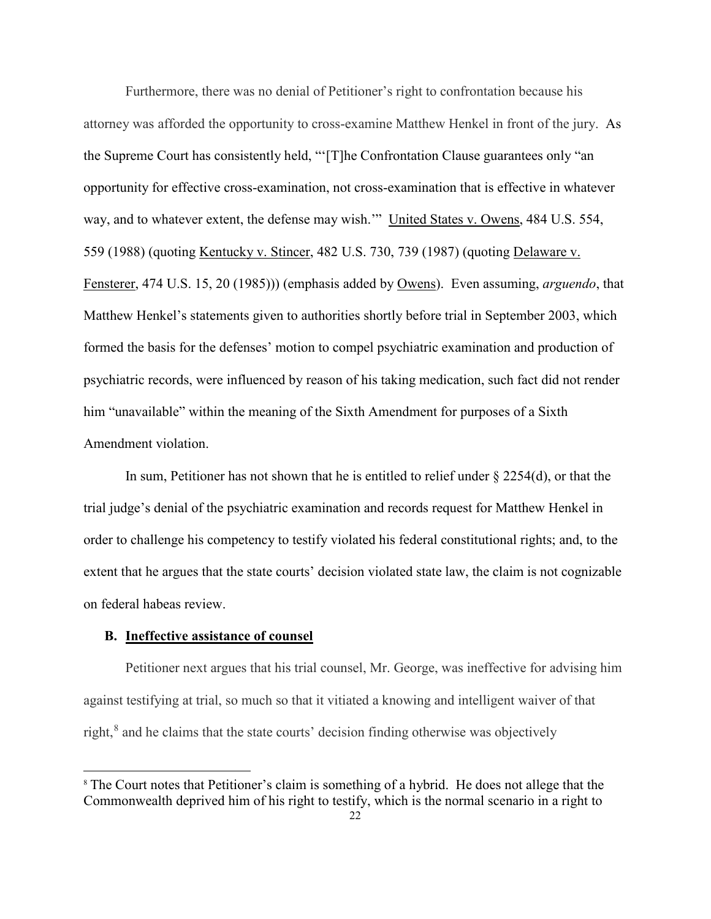Furthermore, there was no denial of Petitioner's right to confrontation because his attorney was afforded the opportunity to cross-examine Matthew Henkel in front of the jury. As the Supreme Court has consistently held, "'[T]he Confrontation Clause guarantees only "an opportunity for effective cross-examination, not cross-examination that is effective in whatever way, and to whatever extent, the defense may wish.'" United States v. Owens, 484 U.S. 554, 559 (1988) (quoting Kentucky v. Stincer, 482 U.S. 730, 739 (1987) (quoting Delaware v. Fensterer, 474 U.S. 15, 20 (1985))) (emphasis added by Owens). Even assuming, *arguendo*, that Matthew Henkel's statements given to authorities shortly before trial in September 2003, which formed the basis for the defenses' motion to compel psychiatric examination and production of psychiatric records, were influenced by reason of his taking medication, such fact did not render him "unavailable" within the meaning of the Sixth Amendment for purposes of a Sixth Amendment violation.

In sum, Petitioner has not shown that he is entitled to relief under  $\S 2254(d)$ , or that the trial judge's denial of the psychiatric examination and records request for Matthew Henkel in order to challenge his competency to testify violated his federal constitutional rights; and, to the extent that he argues that the state courts' decision violated state law, the claim is not cognizable on federal habeas review.

### **B. Ineffective assistance of counsel**

 $\overline{a}$ 

Petitioner next argues that his trial counsel, Mr. George, was ineffective for advising him against testifying at trial, so much so that it vitiated a knowing and intelligent waiver of that right, [8](#page-21-0) and he claims that the state courts' decision finding otherwise was objectively

<span id="page-21-0"></span><sup>&</sup>lt;sup>8</sup> The Court notes that Petitioner's claim is something of a hybrid. He does not allege that the Commonwealth deprived him of his right to testify, which is the normal scenario in a right to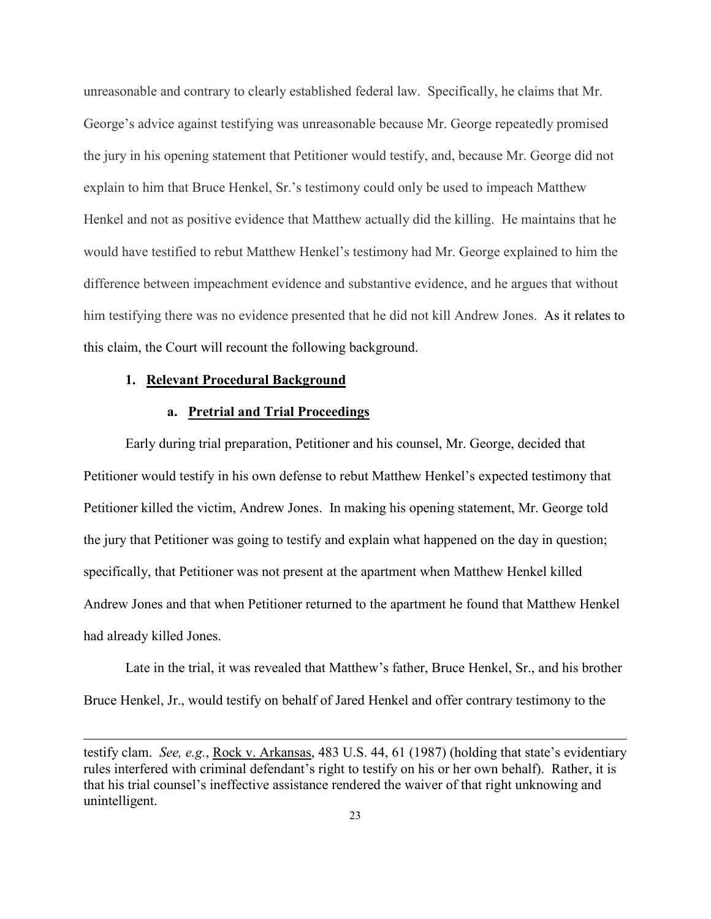unreasonable and contrary to clearly established federal law. Specifically, he claims that Mr. George's advice against testifying was unreasonable because Mr. George repeatedly promised the jury in his opening statement that Petitioner would testify, and, because Mr. George did not explain to him that Bruce Henkel, Sr.'s testimony could only be used to impeach Matthew Henkel and not as positive evidence that Matthew actually did the killing. He maintains that he would have testified to rebut Matthew Henkel's testimony had Mr. George explained to him the difference between impeachment evidence and substantive evidence, and he argues that without him testifying there was no evidence presented that he did not kill Andrew Jones. As it relates to this claim, the Court will recount the following background.

#### **1. Relevant Procedural Background**

 $\overline{a}$ 

### **a. Pretrial and Trial Proceedings**

Early during trial preparation, Petitioner and his counsel, Mr. George, decided that Petitioner would testify in his own defense to rebut Matthew Henkel's expected testimony that Petitioner killed the victim, Andrew Jones. In making his opening statement, Mr. George told the jury that Petitioner was going to testify and explain what happened on the day in question; specifically, that Petitioner was not present at the apartment when Matthew Henkel killed Andrew Jones and that when Petitioner returned to the apartment he found that Matthew Henkel had already killed Jones.

Late in the trial, it was revealed that Matthew's father, Bruce Henkel, Sr., and his brother Bruce Henkel, Jr., would testify on behalf of Jared Henkel and offer contrary testimony to the

testify clam. *See, e.g.*, Rock v. Arkansas, 483 U.S. 44, 61 (1987) (holding that state's evidentiary rules interfered with criminal defendant's right to testify on his or her own behalf). Rather, it is that his trial counsel's ineffective assistance rendered the waiver of that right unknowing and unintelligent.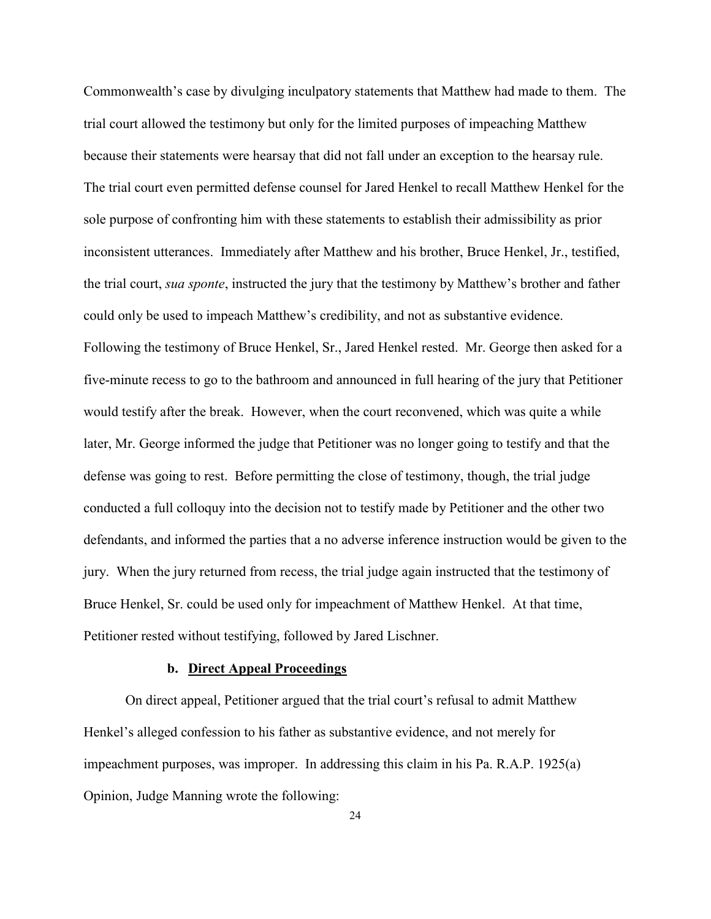Commonwealth's case by divulging inculpatory statements that Matthew had made to them. The trial court allowed the testimony but only for the limited purposes of impeaching Matthew because their statements were hearsay that did not fall under an exception to the hearsay rule. The trial court even permitted defense counsel for Jared Henkel to recall Matthew Henkel for the sole purpose of confronting him with these statements to establish their admissibility as prior inconsistent utterances. Immediately after Matthew and his brother, Bruce Henkel, Jr., testified, the trial court, *sua sponte*, instructed the jury that the testimony by Matthew's brother and father could only be used to impeach Matthew's credibility, and not as substantive evidence. Following the testimony of Bruce Henkel, Sr., Jared Henkel rested. Mr. George then asked for a five-minute recess to go to the bathroom and announced in full hearing of the jury that Petitioner would testify after the break. However, when the court reconvened, which was quite a while later, Mr. George informed the judge that Petitioner was no longer going to testify and that the defense was going to rest. Before permitting the close of testimony, though, the trial judge conducted a full colloquy into the decision not to testify made by Petitioner and the other two defendants, and informed the parties that a no adverse inference instruction would be given to the jury. When the jury returned from recess, the trial judge again instructed that the testimony of Bruce Henkel, Sr. could be used only for impeachment of Matthew Henkel. At that time, Petitioner rested without testifying, followed by Jared Lischner.

### **b. Direct Appeal Proceedings**

On direct appeal, Petitioner argued that the trial court's refusal to admit Matthew Henkel's alleged confession to his father as substantive evidence, and not merely for impeachment purposes, was improper. In addressing this claim in his Pa. R.A.P. 1925(a) Opinion, Judge Manning wrote the following: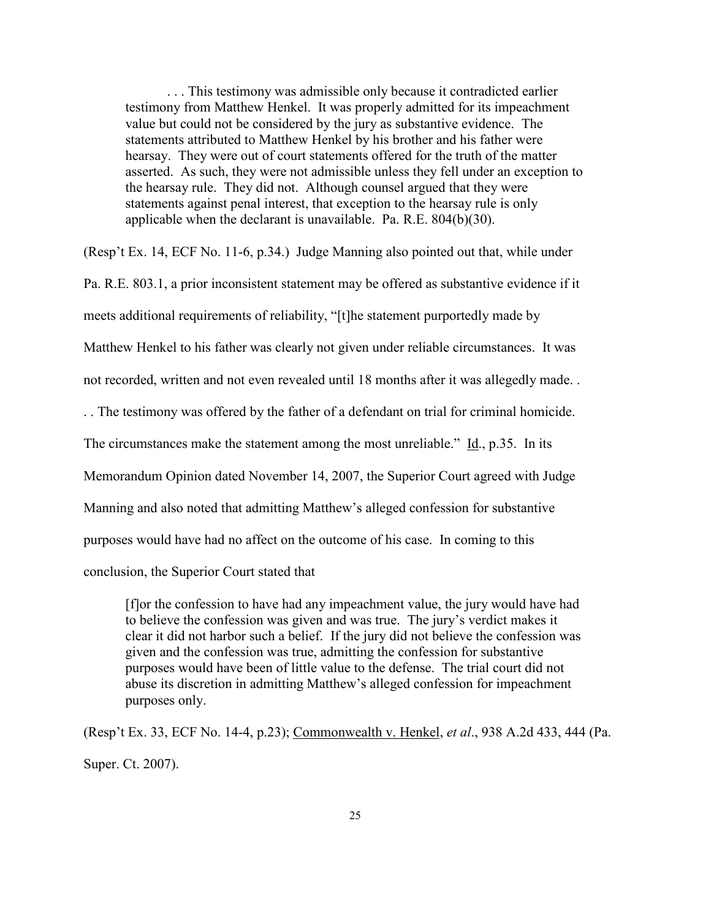. . . This testimony was admissible only because it contradicted earlier testimony from Matthew Henkel. It was properly admitted for its impeachment value but could not be considered by the jury as substantive evidence. The statements attributed to Matthew Henkel by his brother and his father were hearsay. They were out of court statements offered for the truth of the matter asserted. As such, they were not admissible unless they fell under an exception to the hearsay rule. They did not. Although counsel argued that they were statements against penal interest, that exception to the hearsay rule is only applicable when the declarant is unavailable. Pa. R.E. 804(b)(30).

(Resp't Ex. 14, ECF No. 11-6, p.34.) Judge Manning also pointed out that, while under

Pa. R.E. 803.1, a prior inconsistent statement may be offered as substantive evidence if it

meets additional requirements of reliability, "[t]he statement purportedly made by

Matthew Henkel to his father was clearly not given under reliable circumstances. It was

not recorded, written and not even revealed until 18 months after it was allegedly made. .

. . The testimony was offered by the father of a defendant on trial for criminal homicide.

The circumstances make the statement among the most unreliable." Id., p.35. In its

Memorandum Opinion dated November 14, 2007, the Superior Court agreed with Judge

Manning and also noted that admitting Matthew's alleged confession for substantive

purposes would have had no affect on the outcome of his case. In coming to this

conclusion, the Superior Court stated that

[f]or the confession to have had any impeachment value, the jury would have had to believe the confession was given and was true. The jury's verdict makes it clear it did not harbor such a belief. If the jury did not believe the confession was given and the confession was true, admitting the confession for substantive purposes would have been of little value to the defense. The trial court did not abuse its discretion in admitting Matthew's alleged confession for impeachment purposes only.

(Resp't Ex. 33, ECF No. 14-4, p.23); Commonwealth v. Henkel, *et al*., 938 A.2d 433, 444 (Pa. Super. Ct. 2007).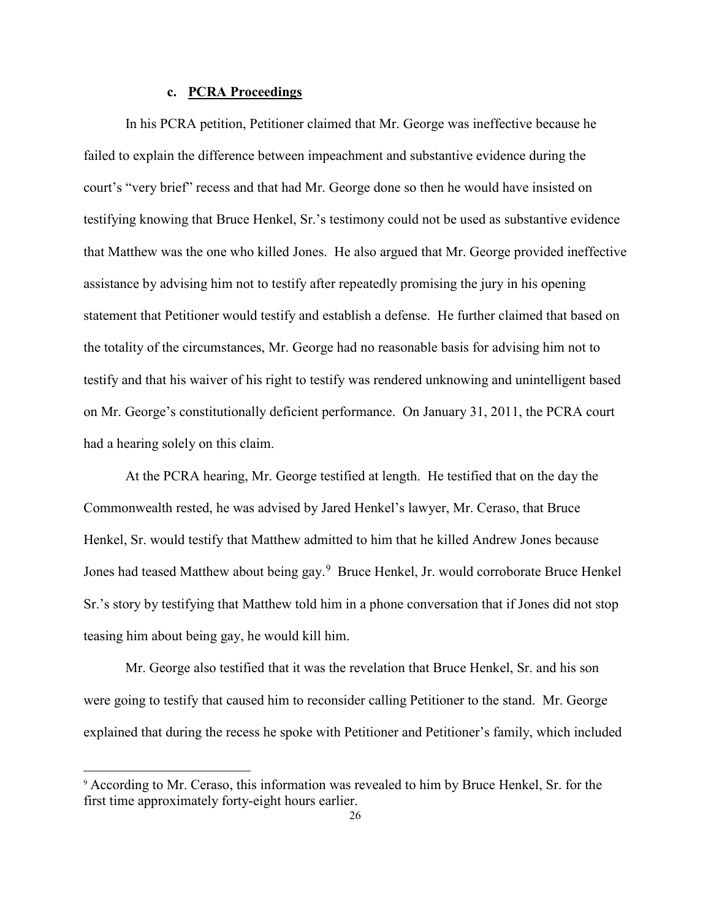### **c. PCRA Proceedings**

In his PCRA petition, Petitioner claimed that Mr. George was ineffective because he failed to explain the difference between impeachment and substantive evidence during the court's "very brief" recess and that had Mr. George done so then he would have insisted on testifying knowing that Bruce Henkel, Sr.'s testimony could not be used as substantive evidence that Matthew was the one who killed Jones. He also argued that Mr. George provided ineffective assistance by advising him not to testify after repeatedly promising the jury in his opening statement that Petitioner would testify and establish a defense. He further claimed that based on the totality of the circumstances, Mr. George had no reasonable basis for advising him not to testify and that his waiver of his right to testify was rendered unknowing and unintelligent based on Mr. George's constitutionally deficient performance. On January 31, 2011, the PCRA court had a hearing solely on this claim.

 At the PCRA hearing, Mr. George testified at length. He testified that on the day the Commonwealth rested, he was advised by Jared Henkel's lawyer, Mr. Ceraso, that Bruce Henkel, Sr. would testify that Matthew admitted to him that he killed Andrew Jones because Jones had teased Matthew about being gay.<sup>[9](#page-25-0)</sup> Bruce Henkel, Jr. would corroborate Bruce Henkel Sr.'s story by testifying that Matthew told him in a phone conversation that if Jones did not stop teasing him about being gay, he would kill him.

 Mr. George also testified that it was the revelation that Bruce Henkel, Sr. and his son were going to testify that caused him to reconsider calling Petitioner to the stand. Mr. George explained that during the recess he spoke with Petitioner and Petitioner's family, which included

-

<span id="page-25-0"></span><sup>9</sup> According to Mr. Ceraso, this information was revealed to him by Bruce Henkel, Sr. for the first time approximately forty-eight hours earlier.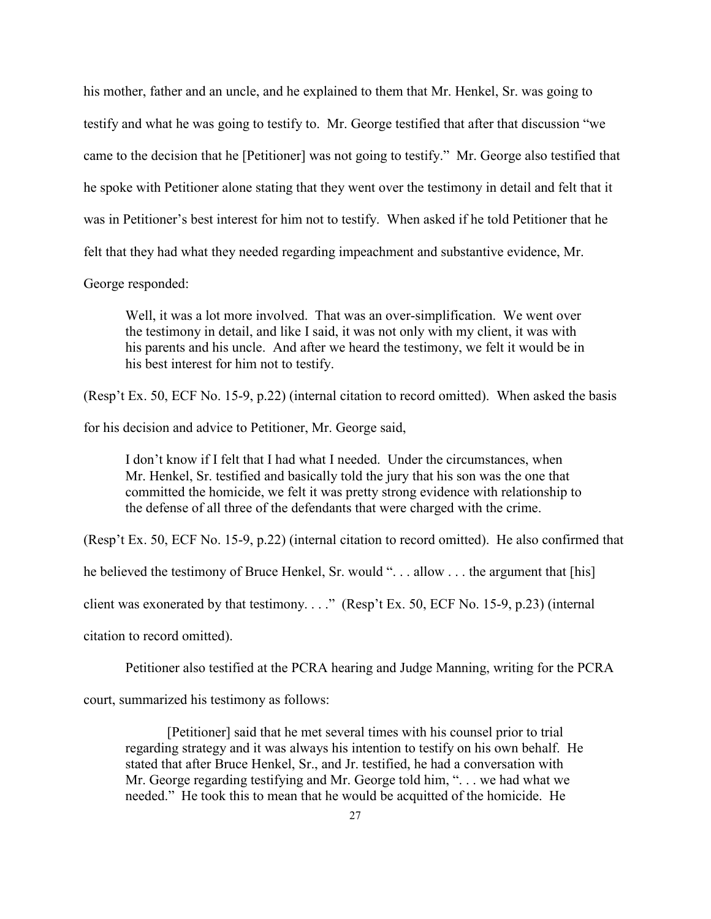his mother, father and an uncle, and he explained to them that Mr. Henkel, Sr. was going to testify and what he was going to testify to. Mr. George testified that after that discussion "we came to the decision that he [Petitioner] was not going to testify." Mr. George also testified that he spoke with Petitioner alone stating that they went over the testimony in detail and felt that it was in Petitioner's best interest for him not to testify. When asked if he told Petitioner that he felt that they had what they needed regarding impeachment and substantive evidence, Mr.

George responded:

Well, it was a lot more involved. That was an over-simplification. We went over the testimony in detail, and like I said, it was not only with my client, it was with his parents and his uncle. And after we heard the testimony, we felt it would be in his best interest for him not to testify.

(Resp't Ex. 50, ECF No. 15-9, p.22) (internal citation to record omitted). When asked the basis

for his decision and advice to Petitioner, Mr. George said,

I don't know if I felt that I had what I needed. Under the circumstances, when Mr. Henkel, Sr. testified and basically told the jury that his son was the one that committed the homicide, we felt it was pretty strong evidence with relationship to the defense of all three of the defendants that were charged with the crime.

(Resp't Ex. 50, ECF No. 15-9, p.22) (internal citation to record omitted). He also confirmed that

he believed the testimony of Bruce Henkel, Sr. would "... allow ... the argument that [his]

client was exonerated by that testimony. . . ." (Resp't Ex. 50, ECF No. 15-9, p.23) (internal

citation to record omitted).

Petitioner also testified at the PCRA hearing and Judge Manning, writing for the PCRA

court, summarized his testimony as follows:

[Petitioner] said that he met several times with his counsel prior to trial regarding strategy and it was always his intention to testify on his own behalf. He stated that after Bruce Henkel, Sr., and Jr. testified, he had a conversation with Mr. George regarding testifying and Mr. George told him, ". . . we had what we needed." He took this to mean that he would be acquitted of the homicide. He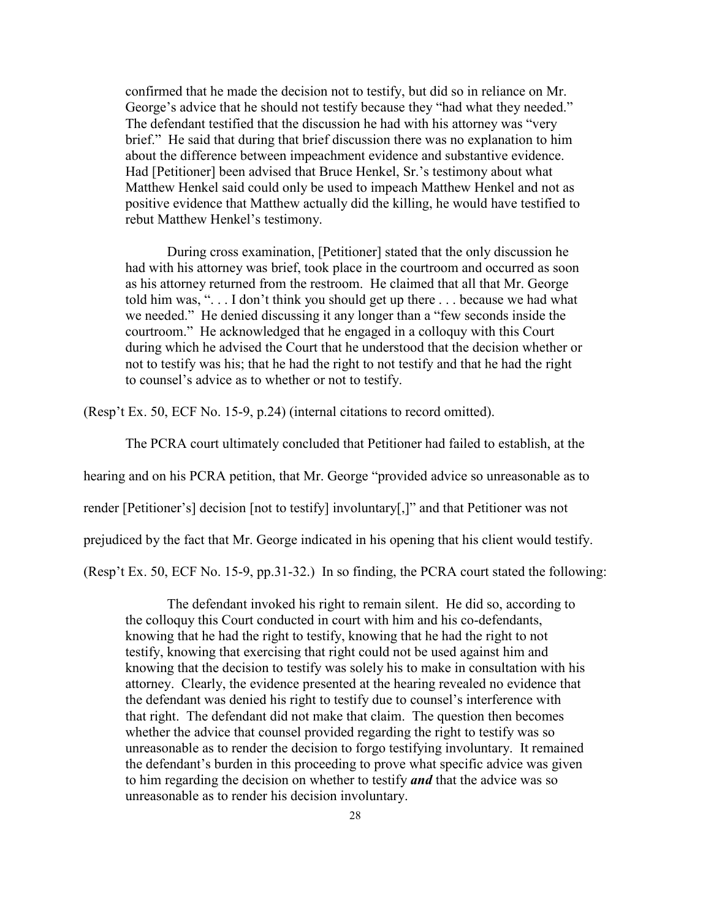confirmed that he made the decision not to testify, but did so in reliance on Mr. George's advice that he should not testify because they "had what they needed." The defendant testified that the discussion he had with his attorney was "very brief." He said that during that brief discussion there was no explanation to him about the difference between impeachment evidence and substantive evidence. Had [Petitioner] been advised that Bruce Henkel, Sr.'s testimony about what Matthew Henkel said could only be used to impeach Matthew Henkel and not as positive evidence that Matthew actually did the killing, he would have testified to rebut Matthew Henkel's testimony.

During cross examination, [Petitioner] stated that the only discussion he had with his attorney was brief, took place in the courtroom and occurred as soon as his attorney returned from the restroom. He claimed that all that Mr. George told him was, ". . . I don't think you should get up there . . . because we had what we needed." He denied discussing it any longer than a "few seconds inside the courtroom." He acknowledged that he engaged in a colloquy with this Court during which he advised the Court that he understood that the decision whether or not to testify was his; that he had the right to not testify and that he had the right to counsel's advice as to whether or not to testify.

(Resp't Ex. 50, ECF No. 15-9, p.24) (internal citations to record omitted).

The PCRA court ultimately concluded that Petitioner had failed to establish, at the

hearing and on his PCRA petition, that Mr. George "provided advice so unreasonable as to

render [Petitioner's] decision [not to testify] involuntary[,]" and that Petitioner was not

prejudiced by the fact that Mr. George indicated in his opening that his client would testify.

(Resp't Ex. 50, ECF No. 15-9, pp.31-32.) In so finding, the PCRA court stated the following:

The defendant invoked his right to remain silent. He did so, according to the colloquy this Court conducted in court with him and his co-defendants, knowing that he had the right to testify, knowing that he had the right to not testify, knowing that exercising that right could not be used against him and knowing that the decision to testify was solely his to make in consultation with his attorney. Clearly, the evidence presented at the hearing revealed no evidence that the defendant was denied his right to testify due to counsel's interference with that right. The defendant did not make that claim. The question then becomes whether the advice that counsel provided regarding the right to testify was so unreasonable as to render the decision to forgo testifying involuntary. It remained the defendant's burden in this proceeding to prove what specific advice was given to him regarding the decision on whether to testify *and* that the advice was so unreasonable as to render his decision involuntary.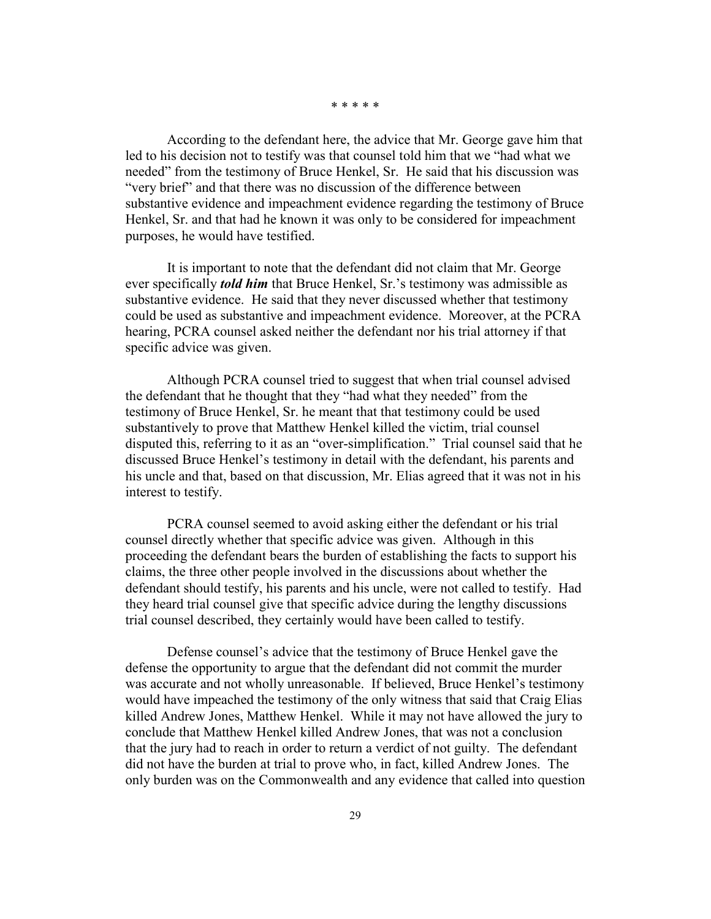\* \* \* \* \*

According to the defendant here, the advice that Mr. George gave him that led to his decision not to testify was that counsel told him that we "had what we needed" from the testimony of Bruce Henkel, Sr. He said that his discussion was "very brief" and that there was no discussion of the difference between substantive evidence and impeachment evidence regarding the testimony of Bruce Henkel, Sr. and that had he known it was only to be considered for impeachment purposes, he would have testified.

It is important to note that the defendant did not claim that Mr. George ever specifically *told him* that Bruce Henkel, Sr.'s testimony was admissible as substantive evidence. He said that they never discussed whether that testimony could be used as substantive and impeachment evidence. Moreover, at the PCRA hearing, PCRA counsel asked neither the defendant nor his trial attorney if that specific advice was given.

Although PCRA counsel tried to suggest that when trial counsel advised the defendant that he thought that they "had what they needed" from the testimony of Bruce Henkel, Sr. he meant that that testimony could be used substantively to prove that Matthew Henkel killed the victim, trial counsel disputed this, referring to it as an "over-simplification." Trial counsel said that he discussed Bruce Henkel's testimony in detail with the defendant, his parents and his uncle and that, based on that discussion, Mr. Elias agreed that it was not in his interest to testify.

PCRA counsel seemed to avoid asking either the defendant or his trial counsel directly whether that specific advice was given. Although in this proceeding the defendant bears the burden of establishing the facts to support his claims, the three other people involved in the discussions about whether the defendant should testify, his parents and his uncle, were not called to testify. Had they heard trial counsel give that specific advice during the lengthy discussions trial counsel described, they certainly would have been called to testify.

Defense counsel's advice that the testimony of Bruce Henkel gave the defense the opportunity to argue that the defendant did not commit the murder was accurate and not wholly unreasonable. If believed, Bruce Henkel's testimony would have impeached the testimony of the only witness that said that Craig Elias killed Andrew Jones, Matthew Henkel. While it may not have allowed the jury to conclude that Matthew Henkel killed Andrew Jones, that was not a conclusion that the jury had to reach in order to return a verdict of not guilty. The defendant did not have the burden at trial to prove who, in fact, killed Andrew Jones. The only burden was on the Commonwealth and any evidence that called into question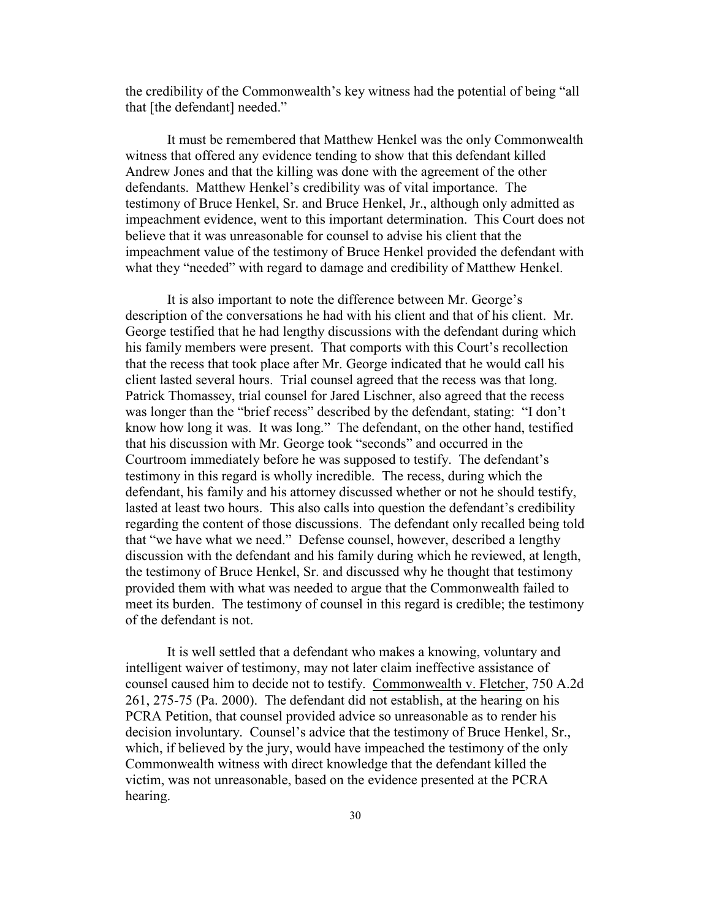the credibility of the Commonwealth's key witness had the potential of being "all that [the defendant] needed."

It must be remembered that Matthew Henkel was the only Commonwealth witness that offered any evidence tending to show that this defendant killed Andrew Jones and that the killing was done with the agreement of the other defendants. Matthew Henkel's credibility was of vital importance. The testimony of Bruce Henkel, Sr. and Bruce Henkel, Jr., although only admitted as impeachment evidence, went to this important determination. This Court does not believe that it was unreasonable for counsel to advise his client that the impeachment value of the testimony of Bruce Henkel provided the defendant with what they "needed" with regard to damage and credibility of Matthew Henkel.

It is also important to note the difference between Mr. George's description of the conversations he had with his client and that of his client. Mr. George testified that he had lengthy discussions with the defendant during which his family members were present. That comports with this Court's recollection that the recess that took place after Mr. George indicated that he would call his client lasted several hours. Trial counsel agreed that the recess was that long. Patrick Thomassey, trial counsel for Jared Lischner, also agreed that the recess was longer than the "brief recess" described by the defendant, stating: "I don't know how long it was. It was long." The defendant, on the other hand, testified that his discussion with Mr. George took "seconds" and occurred in the Courtroom immediately before he was supposed to testify. The defendant's testimony in this regard is wholly incredible. The recess, during which the defendant, his family and his attorney discussed whether or not he should testify, lasted at least two hours. This also calls into question the defendant's credibility regarding the content of those discussions. The defendant only recalled being told that "we have what we need." Defense counsel, however, described a lengthy discussion with the defendant and his family during which he reviewed, at length, the testimony of Bruce Henkel, Sr. and discussed why he thought that testimony provided them with what was needed to argue that the Commonwealth failed to meet its burden. The testimony of counsel in this regard is credible; the testimony of the defendant is not.

It is well settled that a defendant who makes a knowing, voluntary and intelligent waiver of testimony, may not later claim ineffective assistance of counsel caused him to decide not to testify. Commonwealth v. Fletcher, 750 A.2d 261, 275-75 (Pa. 2000). The defendant did not establish, at the hearing on his PCRA Petition, that counsel provided advice so unreasonable as to render his decision involuntary. Counsel's advice that the testimony of Bruce Henkel, Sr., which, if believed by the jury, would have impeached the testimony of the only Commonwealth witness with direct knowledge that the defendant killed the victim, was not unreasonable, based on the evidence presented at the PCRA hearing.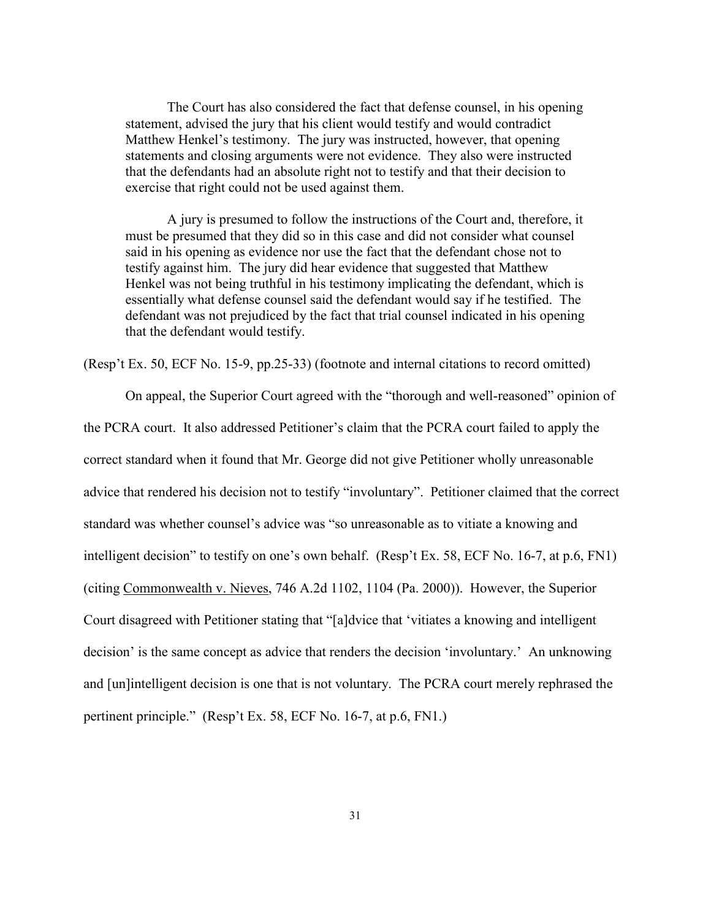The Court has also considered the fact that defense counsel, in his opening statement, advised the jury that his client would testify and would contradict Matthew Henkel's testimony. The jury was instructed, however, that opening statements and closing arguments were not evidence. They also were instructed that the defendants had an absolute right not to testify and that their decision to exercise that right could not be used against them.

A jury is presumed to follow the instructions of the Court and, therefore, it must be presumed that they did so in this case and did not consider what counsel said in his opening as evidence nor use the fact that the defendant chose not to testify against him. The jury did hear evidence that suggested that Matthew Henkel was not being truthful in his testimony implicating the defendant, which is essentially what defense counsel said the defendant would say if he testified. The defendant was not prejudiced by the fact that trial counsel indicated in his opening that the defendant would testify.

(Resp't Ex. 50, ECF No. 15-9, pp.25-33) (footnote and internal citations to record omitted)

 On appeal, the Superior Court agreed with the "thorough and well-reasoned" opinion of the PCRA court. It also addressed Petitioner's claim that the PCRA court failed to apply the correct standard when it found that Mr. George did not give Petitioner wholly unreasonable advice that rendered his decision not to testify "involuntary". Petitioner claimed that the correct standard was whether counsel's advice was "so unreasonable as to vitiate a knowing and intelligent decision" to testify on one's own behalf. (Resp't Ex. 58, ECF No. 16-7, at p.6, FN1) (citing Commonwealth v. Nieves, 746 A.2d 1102, 1104 (Pa. 2000)). However, the Superior Court disagreed with Petitioner stating that "[a]dvice that 'vitiates a knowing and intelligent decision' is the same concept as advice that renders the decision 'involuntary.' An unknowing and [un]intelligent decision is one that is not voluntary. The PCRA court merely rephrased the pertinent principle." (Resp't Ex. 58, ECF No. 16-7, at p.6, FN1.)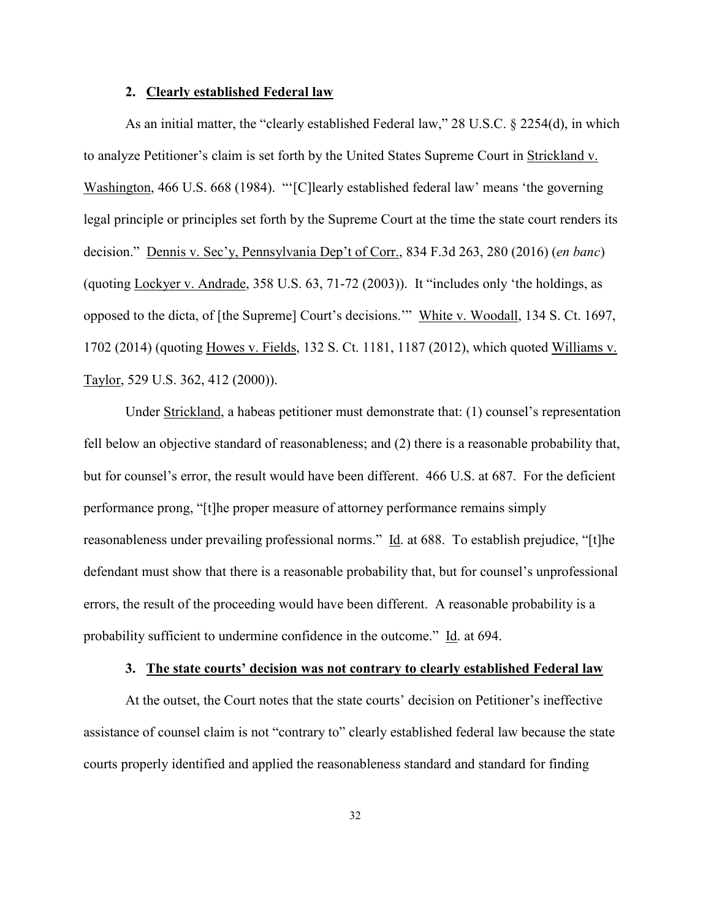### **2. Clearly established Federal law**

As an initial matter, the "clearly established Federal law," 28 U.S.C. § 2254(d), in which to analyze Petitioner's claim is set forth by the United States Supreme Court in Strickland v. Washington, 466 U.S. 668 (1984). "'[C]learly established federal law' means 'the governing legal principle or principles set forth by the Supreme Court at the time the state court renders its decision." Dennis v. Sec'y, Pennsylvania Dep't of Corr., 834 F.3d 263, 280 (2016) (*en banc*) (quoting Lockyer v. Andrade, 358 U.S. 63, 71-72 (2003)). It "includes only 'the holdings, as opposed to the dicta, of [the Supreme] Court's decisions.'" White v. Woodall, 134 S. Ct. 1697, 1702 (2014) (quoting Howes v. Fields, 132 S. Ct. 1181, 1187 (2012), which quoted Williams v. Taylor, 529 U.S. 362, 412 (2000)).

Under Strickland, a habeas petitioner must demonstrate that: (1) counsel's representation fell below an objective standard of reasonableness; and (2) there is a reasonable probability that, but for counsel's error, the result would have been different. 466 U.S. at 687. For the deficient performance prong, "[t]he proper measure of attorney performance remains simply reasonableness under prevailing professional norms." Id. at 688. To establish prejudice, "[t]he defendant must show that there is a reasonable probability that, but for counsel's unprofessional errors, the result of the proceeding would have been different. A reasonable probability is a probability sufficient to undermine confidence in the outcome." Id. at 694.

## **3. The state courts' decision was not contrary to clearly established Federal law**

At the outset, the Court notes that the state courts' decision on Petitioner's ineffective assistance of counsel claim is not "contrary to" clearly established federal law because the state courts properly identified and applied the reasonableness standard and standard for finding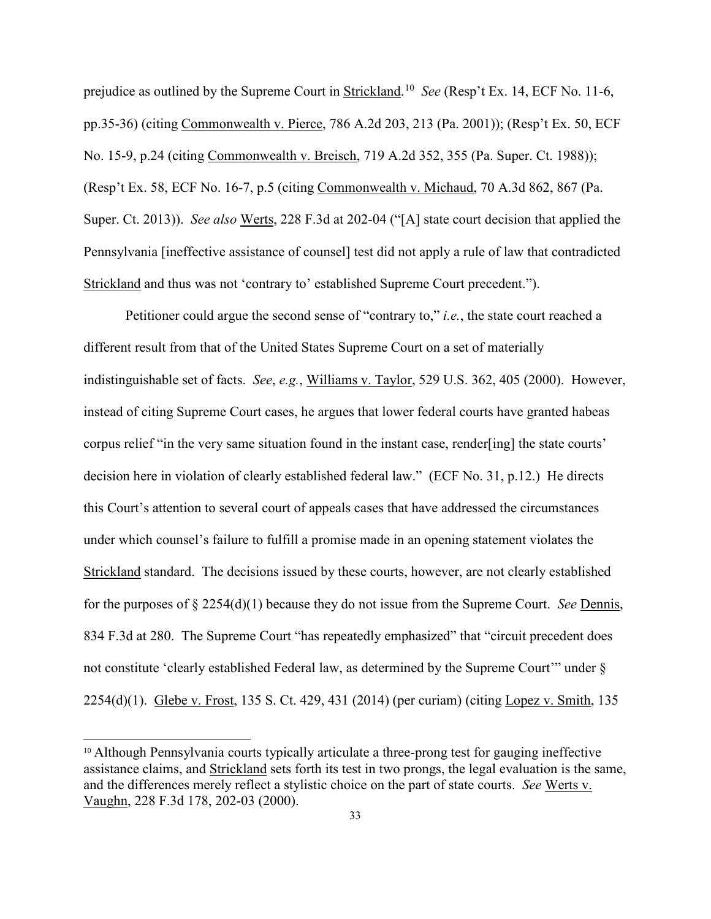prejudice as outlined by the Supreme Court in **Strickland**.<sup>[10](#page-32-0)</sup> See (Resp't Ex. 14, ECF No. 11-6, pp.35-36) (citing Commonwealth v. Pierce, 786 A.2d 203, 213 (Pa. 2001)); (Resp't Ex. 50, ECF No. 15-9, p.24 (citing Commonwealth v. Breisch, 719 A.2d 352, 355 (Pa. Super. Ct. 1988)); (Resp't Ex. 58, ECF No. 16-7, p.5 (citing Commonwealth v. Michaud, 70 A.3d 862, 867 (Pa. Super. Ct. 2013)). *See also* Werts, 228 F.3d at 202-04 ("[A] state court decision that applied the Pennsylvania [ineffective assistance of counsel] test did not apply a rule of law that contradicted Strickland and thus was not 'contrary to' established Supreme Court precedent.").

Petitioner could argue the second sense of "contrary to," *i.e.*, the state court reached a different result from that of the United States Supreme Court on a set of materially indistinguishable set of facts. *See*, *e.g.*, Williams v. Taylor, 529 U.S. 362, 405 (2000). However, instead of citing Supreme Court cases, he argues that lower federal courts have granted habeas corpus relief "in the very same situation found in the instant case, render[ing] the state courts' decision here in violation of clearly established federal law." (ECF No. 31, p.12.) He directs this Court's attention to several court of appeals cases that have addressed the circumstances under which counsel's failure to fulfill a promise made in an opening statement violates the Strickland standard. The decisions issued by these courts, however, are not clearly established for the purposes of § 2254(d)(1) because they do not issue from the Supreme Court. *See* Dennis, 834 F.3d at 280. The Supreme Court "has repeatedly emphasized" that "circuit precedent does not constitute 'clearly established Federal law, as determined by the Supreme Court'" under § 2254(d)(1). Glebe v. Frost, 135 S. Ct. 429, 431 (2014) (per curiam) (citing Lopez v. Smith, 135

 $\overline{a}$ 

<span id="page-32-0"></span><sup>10</sup> Although Pennsylvania courts typically articulate a three-prong test for gauging ineffective assistance claims, and Strickland sets forth its test in two prongs, the legal evaluation is the same, and the differences merely reflect a stylistic choice on the part of state courts. *See* Werts v. Vaughn, 228 F.3d 178, 202-03 (2000).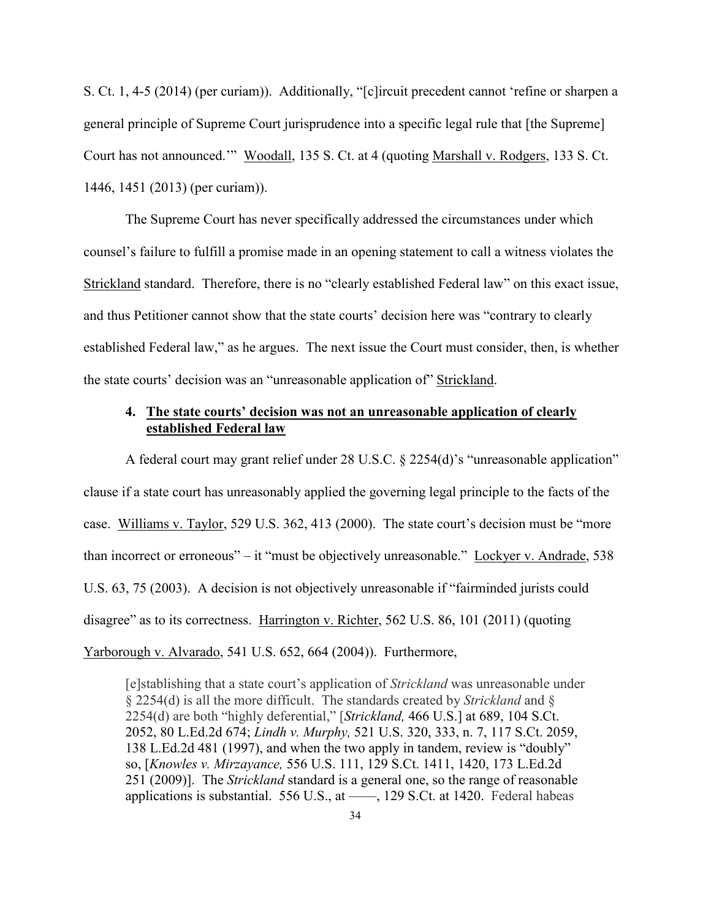S. Ct. 1, 4-5 (2014) (per curiam)). Additionally, "[c]ircuit precedent cannot 'refine or sharpen a general principle of Supreme Court jurisprudence into a specific legal rule that [the Supreme] Court has not announced.'" Woodall, 135 S. Ct. at 4 (quoting Marshall v. Rodgers, 133 S. Ct. 1446, 1451 (2013) (per curiam)).

The Supreme Court has never specifically addressed the circumstances under which counsel's failure to fulfill a promise made in an opening statement to call a witness violates the Strickland standard. Therefore, there is no "clearly established Federal law" on this exact issue, and thus Petitioner cannot show that the state courts' decision here was "contrary to clearly established Federal law," as he argues. The next issue the Court must consider, then, is whether the state courts' decision was an "unreasonable application of" Strickland.

## **4. The state courts' decision was not an unreasonable application of clearly established Federal law**

A federal court may grant relief under 28 U.S.C. § 2254(d)'s "unreasonable application" clause if a state court has unreasonably applied the governing legal principle to the facts of the case. Williams v. Taylor, 529 U.S. 362, 413 (2000). The state court's decision must be "more than incorrect or erroneous" – it "must be objectively unreasonable." Lockyer v. Andrade, 538 U.S. 63, 75 (2003). A decision is not objectively unreasonable if "fairminded jurists could disagree" as to its correctness. Harrington v. Richter, 562 U.S. 86, 101 (2011) (quoting Yarborough v. Alvarado, 541 U.S. 652, 664 (2004)). Furthermore,

[e]stablishing that a state court's application of *Strickland* was unreasonable under § 2254(d) is all the more difficult. The standards created by *Strickland* and § 2254(d) are both "highly deferential," [*Strickland,* 466 U.S.] at 689, 104 S.Ct. 2052, 80 L.Ed.2d 674; *Lindh v. Murphy,* 521 U.S. 320, 333, n. 7, 117 S.Ct. 2059, 138 L.Ed.2d 481 (1997), and when the two apply in tandem, review is "doubly" so, [*Knowles v. Mirzayance,* 556 U.S. 111, 129 S.Ct. 1411, 1420, 173 L.Ed.2d 251 (2009)]. The *Strickland* standard is a general one, so the range of reasonable applications is substantial.  $556$  U.S., at ——, 129 S.Ct. at 1420. Federal habeas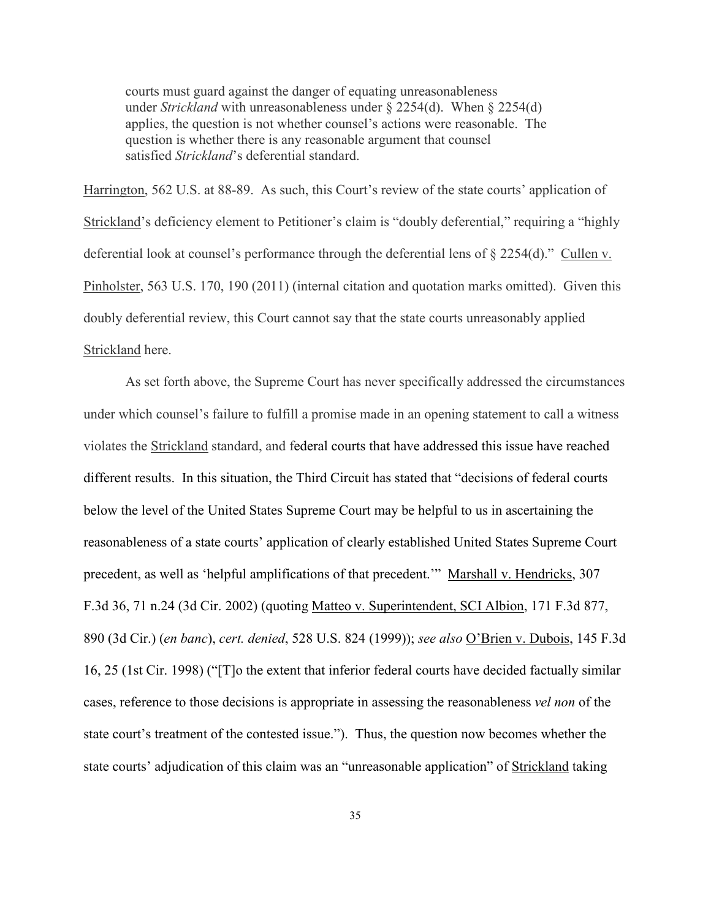courts must guard against the danger of equating unreasonableness under *Strickland* with unreasonableness under § 2254(d). When § 2254(d) applies, the question is not whether counsel's actions were reasonable. The question is whether there is any reasonable argument that counsel satisfied *Strickland*'s deferential standard.

Harrington, 562 U.S. at 88-89. As such, this Court's review of the state courts' application of Strickland's deficiency element to Petitioner's claim is "doubly deferential," requiring a "highly deferential look at counsel's performance through the deferential lens of § 2254(d)." Cullen v. Pinholster, 563 U.S. 170, 190 (2011) (internal citation and quotation marks omitted). Given this doubly deferential review, this Court cannot say that the state courts unreasonably applied Strickland here.

 As set forth above, the Supreme Court has never specifically addressed the circumstances under which counsel's failure to fulfill a promise made in an opening statement to call a witness violates the Strickland standard, and federal courts that have addressed this issue have reached different results. In this situation, the Third Circuit has stated that "decisions of federal courts below the level of the United States Supreme Court may be helpful to us in ascertaining the reasonableness of a state courts' application of clearly established United States Supreme Court precedent, as well as 'helpful amplifications of that precedent.'" Marshall v. Hendricks, 307 F.3d 36, 71 n.24 (3d Cir. 2002) (quoting Matteo v. Superintendent, SCI Albion, 171 F.3d 877, 890 (3d Cir.) (*en banc*), *cert. denied*, 528 U.S. 824 (1999)); *see also* O'Brien v. Dubois, 145 F.3d 16, 25 (1st Cir. 1998) ("[T]o the extent that inferior federal courts have decided factually similar cases, reference to those decisions is appropriate in assessing the reasonableness *vel non* of the state court's treatment of the contested issue."). Thus, the question now becomes whether the state courts' adjudication of this claim was an "unreasonable application" of Strickland taking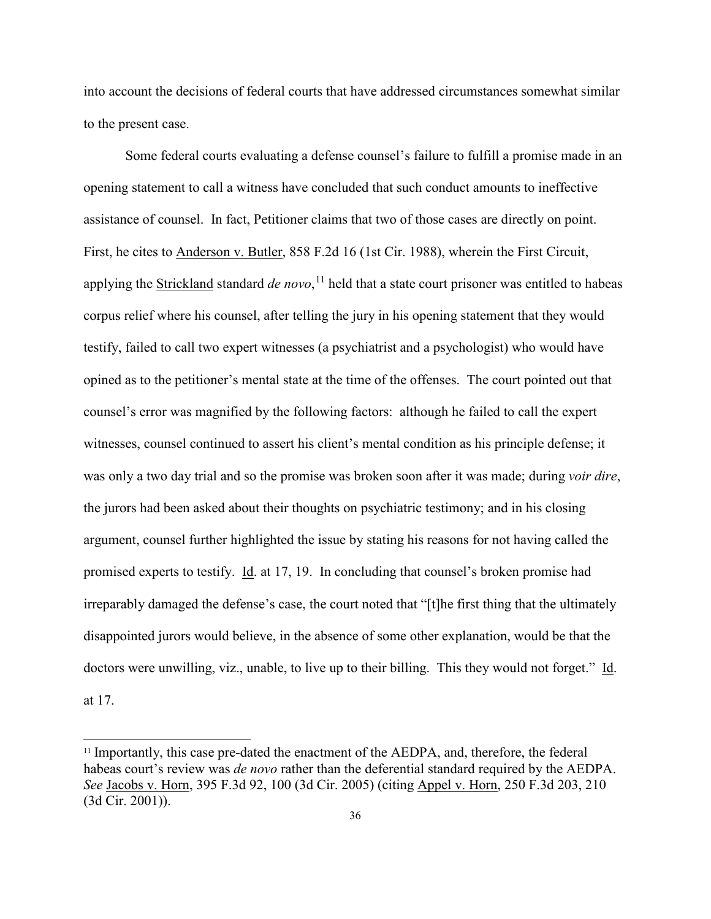into account the decisions of federal courts that have addressed circumstances somewhat similar to the present case.

Some federal courts evaluating a defense counsel's failure to fulfill a promise made in an opening statement to call a witness have concluded that such conduct amounts to ineffective assistance of counsel. In fact, Petitioner claims that two of those cases are directly on point. First, he cites to Anderson v. Butler, 858 F.2d 16 (1st Cir. 1988), wherein the First Circuit, applying the Strickland standard *de novo*, [11](#page-35-0) held that a state court prisoner was entitled to habeas corpus relief where his counsel, after telling the jury in his opening statement that they would testify, failed to call two expert witnesses (a psychiatrist and a psychologist) who would have opined as to the petitioner's mental state at the time of the offenses. The court pointed out that counsel's error was magnified by the following factors: although he failed to call the expert witnesses, counsel continued to assert his client's mental condition as his principle defense; it was only a two day trial and so the promise was broken soon after it was made; during *voir dire*, the jurors had been asked about their thoughts on psychiatric testimony; and in his closing argument, counsel further highlighted the issue by stating his reasons for not having called the promised experts to testify. Id. at 17, 19. In concluding that counsel's broken promise had irreparably damaged the defense's case, the court noted that "[t]he first thing that the ultimately disappointed jurors would believe, in the absence of some other explanation, would be that the doctors were unwilling, viz., unable, to live up to their billing. This they would not forget." Id. at 17.

 $\overline{a}$ 

<span id="page-35-0"></span><sup>11</sup> Importantly, this case pre-dated the enactment of the AEDPA, and, therefore, the federal habeas court's review was *de novo* rather than the deferential standard required by the AEDPA. *See* Jacobs v. Horn, 395 F.3d 92, 100 (3d Cir. 2005) (citing Appel v. Horn, 250 F.3d 203, 210 (3d Cir. 2001)).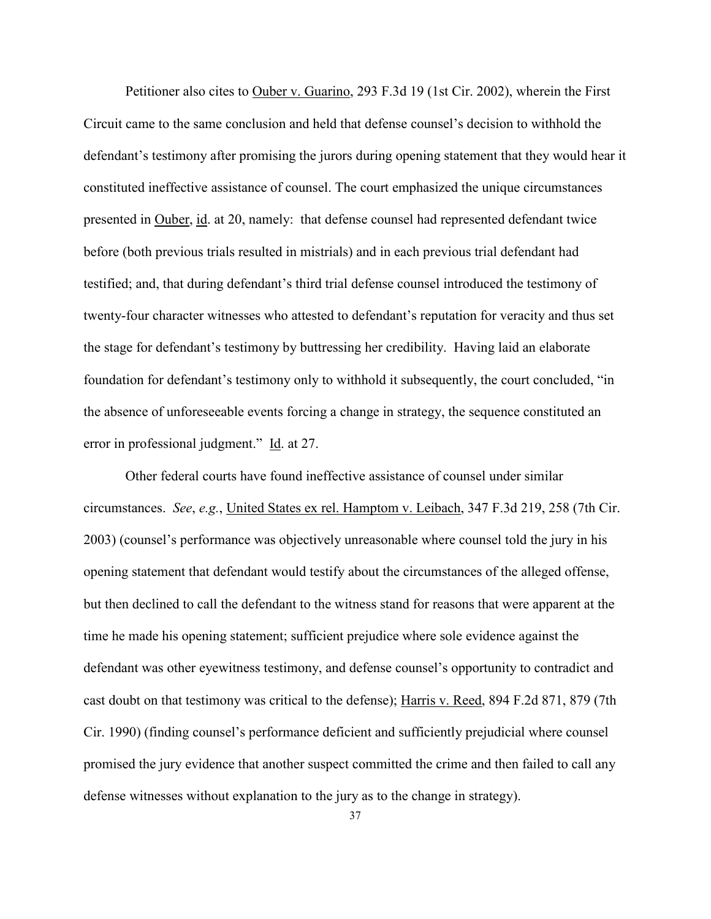Petitioner also cites to Ouber v. Guarino, 293 F.3d 19 (1st Cir. 2002), wherein the First Circuit came to the same conclusion and held that defense counsel's decision to withhold the defendant's testimony after promising the jurors during opening statement that they would hear it constituted ineffective assistance of counsel. The court emphasized the unique circumstances presented in Ouber, id. at 20, namely: that defense counsel had represented defendant twice before (both previous trials resulted in mistrials) and in each previous trial defendant had testified; and, that during defendant's third trial defense counsel introduced the testimony of twenty-four character witnesses who attested to defendant's reputation for veracity and thus set the stage for defendant's testimony by buttressing her credibility. Having laid an elaborate foundation for defendant's testimony only to withhold it subsequently, the court concluded, "in the absence of unforeseeable events forcing a change in strategy, the sequence constituted an error in professional judgment." Id. at 27.

Other federal courts have found ineffective assistance of counsel under similar circumstances. *See*, *e.g.*, United States ex rel. Hamptom v. Leibach, 347 F.3d 219, 258 (7th Cir. 2003) (counsel's performance was objectively unreasonable where counsel told the jury in his opening statement that defendant would testify about the circumstances of the alleged offense, but then declined to call the defendant to the witness stand for reasons that were apparent at the time he made his opening statement; sufficient prejudice where sole evidence against the defendant was other eyewitness testimony, and defense counsel's opportunity to contradict and cast doubt on that testimony was critical to the defense); Harris v. Reed, 894 F.2d 871, 879 (7th Cir. 1990) (finding counsel's performance deficient and sufficiently prejudicial where counsel promised the jury evidence that another suspect committed the crime and then failed to call any defense witnesses without explanation to the jury as to the change in strategy).

37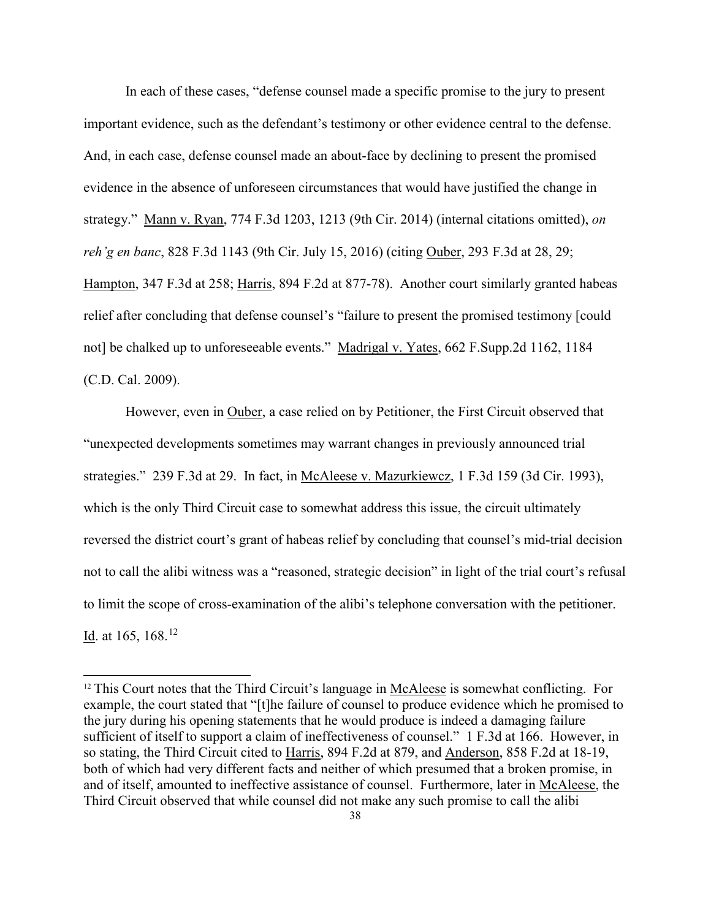In each of these cases, "defense counsel made a specific promise to the jury to present important evidence, such as the defendant's testimony or other evidence central to the defense. And, in each case, defense counsel made an about-face by declining to present the promised evidence in the absence of unforeseen circumstances that would have justified the change in strategy." Mann v. Ryan, 774 F.3d 1203, 1213 (9th Cir. 2014) (internal citations omitted), *on reh'g en banc*, 828 F.3d 1143 (9th Cir. July 15, 2016) (citing Ouber, 293 F.3d at 28, 29; Hampton, 347 F.3d at 258; Harris, 894 F.2d at 877-78). Another court similarly granted habeas relief after concluding that defense counsel's "failure to present the promised testimony [could not] be chalked up to unforeseeable events." Madrigal v. Yates, 662 F.Supp.2d 1162, 1184 (C.D. Cal. 2009).

However, even in Ouber, a case relied on by Petitioner, the First Circuit observed that "unexpected developments sometimes may warrant changes in previously announced trial strategies." 239 F.3d at 29. In fact, in McAleese v. Mazurkiewcz, 1 F.3d 159 (3d Cir. 1993), which is the only Third Circuit case to somewhat address this issue, the circuit ultimately reversed the district court's grant of habeas relief by concluding that counsel's mid-trial decision not to call the alibi witness was a "reasoned, strategic decision" in light of the trial court's refusal to limit the scope of cross-examination of the alibi's telephone conversation with the petitioner. <u>Id</u>. at 165, 168.<sup>[12](#page-37-0)</sup>

 $\overline{a}$ 

<span id="page-37-0"></span><sup>&</sup>lt;sup>12</sup> This Court notes that the Third Circuit's language in McAleese is somewhat conflicting. For example, the court stated that "[t]he failure of counsel to produce evidence which he promised to the jury during his opening statements that he would produce is indeed a damaging failure sufficient of itself to support a claim of ineffectiveness of counsel." 1 F.3d at 166. However, in so stating, the Third Circuit cited to Harris, 894 F.2d at 879, and Anderson, 858 F.2d at 18-19, both of which had very different facts and neither of which presumed that a broken promise, in and of itself, amounted to ineffective assistance of counsel. Furthermore, later in McAleese, the Third Circuit observed that while counsel did not make any such promise to call the alibi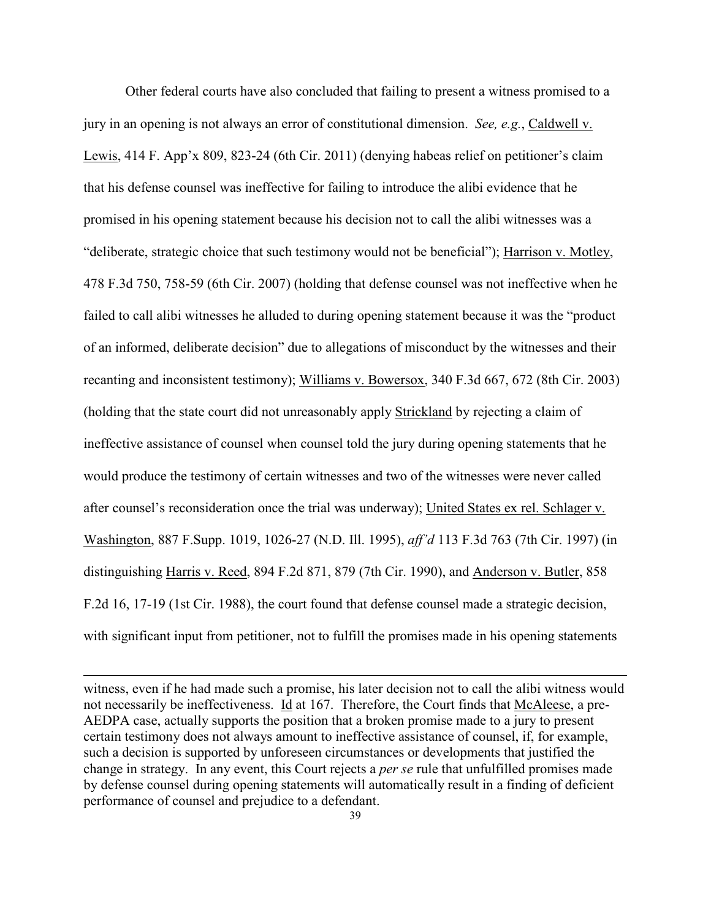Other federal courts have also concluded that failing to present a witness promised to a jury in an opening is not always an error of constitutional dimension. *See, e.g.*, Caldwell v. Lewis, 414 F. App'x 809, 823-24 (6th Cir. 2011) (denying habeas relief on petitioner's claim that his defense counsel was ineffective for failing to introduce the alibi evidence that he promised in his opening statement because his decision not to call the alibi witnesses was a "deliberate, strategic choice that such testimony would not be beneficial"); Harrison v. Motley, 478 F.3d 750, 758-59 (6th Cir. 2007) (holding that defense counsel was not ineffective when he failed to call alibi witnesses he alluded to during opening statement because it was the "product of an informed, deliberate decision" due to allegations of misconduct by the witnesses and their recanting and inconsistent testimony); Williams v. Bowersox, 340 F.3d 667, 672 (8th Cir. 2003) (holding that the state court did not unreasonably apply Strickland by rejecting a claim of ineffective assistance of counsel when counsel told the jury during opening statements that he would produce the testimony of certain witnesses and two of the witnesses were never called after counsel's reconsideration once the trial was underway); United States ex rel. Schlager v. Washington, 887 F.Supp. 1019, 1026-27 (N.D. Ill. 1995), *aff'd* 113 F.3d 763 (7th Cir. 1997) (in distinguishing Harris v. Reed, 894 F.2d 871, 879 (7th Cir. 1990), and Anderson v. Butler, 858 F.2d 16, 17-19 (1st Cir. 1988), the court found that defense counsel made a strategic decision, with significant input from petitioner, not to fulfill the promises made in his opening statements

witness, even if he had made such a promise, his later decision not to call the alibi witness would not necessarily be ineffectiveness. Id at 167. Therefore, the Court finds that McAleese, a pre-AEDPA case, actually supports the position that a broken promise made to a jury to present certain testimony does not always amount to ineffective assistance of counsel, if, for example, such a decision is supported by unforeseen circumstances or developments that justified the change in strategy. In any event, this Court rejects a *per se* rule that unfulfilled promises made by defense counsel during opening statements will automatically result in a finding of deficient performance of counsel and prejudice to a defendant.

 $\overline{a}$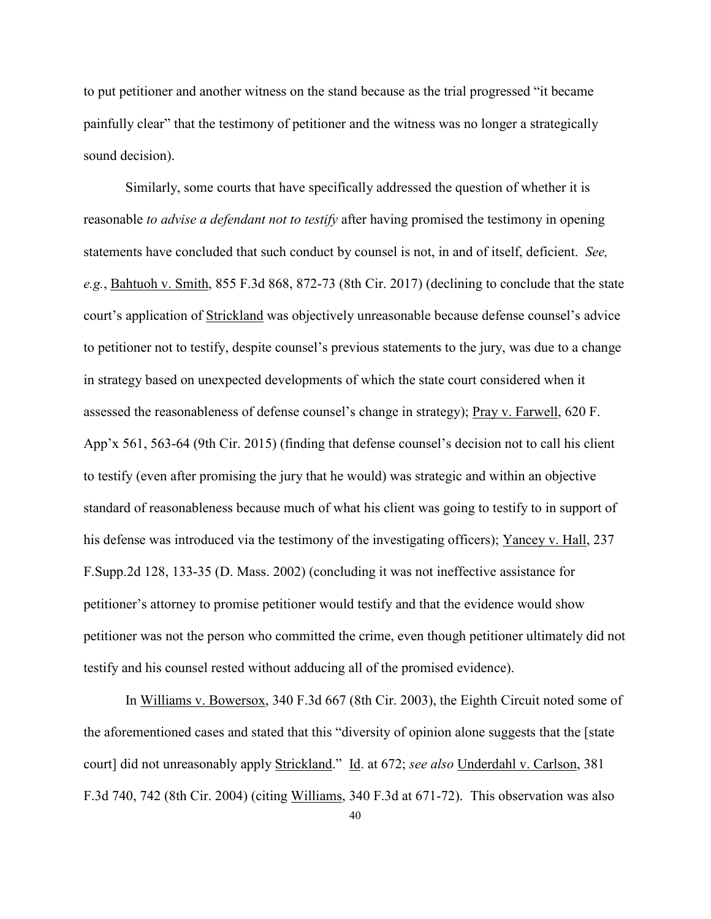to put petitioner and another witness on the stand because as the trial progressed "it became painfully clear" that the testimony of petitioner and the witness was no longer a strategically sound decision).

Similarly, some courts that have specifically addressed the question of whether it is reasonable *to advise a defendant not to testify* after having promised the testimony in opening statements have concluded that such conduct by counsel is not, in and of itself, deficient. *See, e.g.*, Bahtuoh v. Smith, 855 F.3d 868, 872-73 (8th Cir. 2017) (declining to conclude that the state court's application of Strickland was objectively unreasonable because defense counsel's advice to petitioner not to testify, despite counsel's previous statements to the jury, was due to a change in strategy based on unexpected developments of which the state court considered when it assessed the reasonableness of defense counsel's change in strategy); Pray v. Farwell, 620 F. App'x 561, 563-64 (9th Cir. 2015) (finding that defense counsel's decision not to call his client to testify (even after promising the jury that he would) was strategic and within an objective standard of reasonableness because much of what his client was going to testify to in support of his defense was introduced via the testimony of the investigating officers); Yancey v. Hall, 237 F.Supp.2d 128, 133-35 (D. Mass. 2002) (concluding it was not ineffective assistance for petitioner's attorney to promise petitioner would testify and that the evidence would show petitioner was not the person who committed the crime, even though petitioner ultimately did not testify and his counsel rested without adducing all of the promised evidence).

In Williams v. Bowersox, 340 F.3d 667 (8th Cir. 2003), the Eighth Circuit noted some of the aforementioned cases and stated that this "diversity of opinion alone suggests that the [state court] did not unreasonably apply Strickland." Id. at 672; *see also* Underdahl v. Carlson, 381 F.3d 740, 742 (8th Cir. 2004) (citing Williams, 340 F.3d at 671-72). This observation was also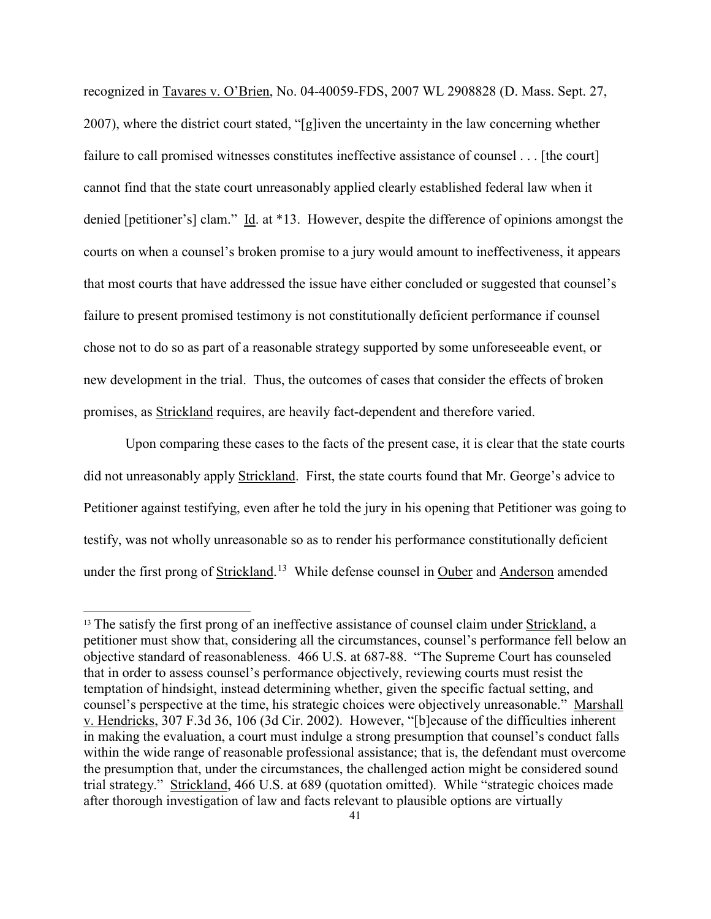recognized in Tavares v. O'Brien, No. 04-40059-FDS, 2007 WL 2908828 (D. Mass. Sept. 27, 2007), where the district court stated, "[g]iven the uncertainty in the law concerning whether failure to call promised witnesses constitutes ineffective assistance of counsel . . . [the court] cannot find that the state court unreasonably applied clearly established federal law when it denied [petitioner's] clam." Id. at \*13. However, despite the difference of opinions amongst the courts on when a counsel's broken promise to a jury would amount to ineffectiveness, it appears that most courts that have addressed the issue have either concluded or suggested that counsel's failure to present promised testimony is not constitutionally deficient performance if counsel chose not to do so as part of a reasonable strategy supported by some unforeseeable event, or new development in the trial. Thus, the outcomes of cases that consider the effects of broken promises, as Strickland requires, are heavily fact-dependent and therefore varied.

Upon comparing these cases to the facts of the present case, it is clear that the state courts did not unreasonably apply Strickland. First, the state courts found that Mr. George's advice to Petitioner against testifying, even after he told the jury in his opening that Petitioner was going to testify, was not wholly unreasonable so as to render his performance constitutionally deficient under the first prong of Strickland.<sup>[13](#page-40-0)</sup> While defense counsel in Ouber and Anderson amended

 $\overline{a}$ 

<span id="page-40-0"></span><sup>&</sup>lt;sup>13</sup> The satisfy the first prong of an ineffective assistance of counsel claim under Strickland, a petitioner must show that, considering all the circumstances, counsel's performance fell below an objective standard of reasonableness. 466 U.S. at 687-88. "The Supreme Court has counseled that in order to assess counsel's performance objectively, reviewing courts must resist the temptation of hindsight, instead determining whether, given the specific factual setting, and counsel's perspective at the time, his strategic choices were objectively unreasonable." Marshall v. Hendricks, 307 F.3d 36, 106 (3d Cir. 2002). However, "[b]ecause of the difficulties inherent in making the evaluation, a court must indulge a strong presumption that counsel's conduct falls within the wide range of reasonable professional assistance; that is, the defendant must overcome the presumption that, under the circumstances, the challenged action might be considered sound trial strategy." Strickland, 466 U.S. at 689 (quotation omitted). While "strategic choices made after thorough investigation of law and facts relevant to plausible options are virtually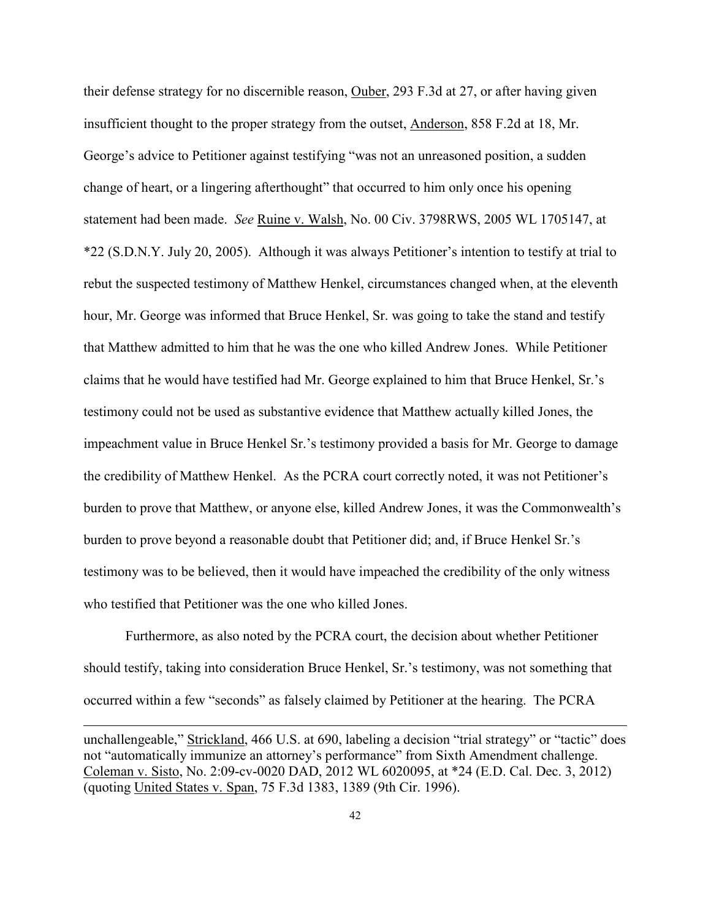their defense strategy for no discernible reason, Ouber, 293 F.3d at 27, or after having given insufficient thought to the proper strategy from the outset, Anderson, 858 F.2d at 18, Mr. George's advice to Petitioner against testifying "was not an unreasoned position, a sudden change of heart, or a lingering afterthought" that occurred to him only once his opening statement had been made. *See* Ruine v. Walsh, No. 00 Civ. 3798RWS, 2005 WL 1705147, at \*22 (S.D.N.Y. July 20, 2005). Although it was always Petitioner's intention to testify at trial to rebut the suspected testimony of Matthew Henkel, circumstances changed when, at the eleventh hour, Mr. George was informed that Bruce Henkel, Sr. was going to take the stand and testify that Matthew admitted to him that he was the one who killed Andrew Jones. While Petitioner claims that he would have testified had Mr. George explained to him that Bruce Henkel, Sr.'s testimony could not be used as substantive evidence that Matthew actually killed Jones, the impeachment value in Bruce Henkel Sr.'s testimony provided a basis for Mr. George to damage the credibility of Matthew Henkel. As the PCRA court correctly noted, it was not Petitioner's burden to prove that Matthew, or anyone else, killed Andrew Jones, it was the Commonwealth's burden to prove beyond a reasonable doubt that Petitioner did; and, if Bruce Henkel Sr.'s testimony was to be believed, then it would have impeached the credibility of the only witness who testified that Petitioner was the one who killed Jones.

Furthermore, as also noted by the PCRA court, the decision about whether Petitioner should testify, taking into consideration Bruce Henkel, Sr.'s testimony, was not something that occurred within a few "seconds" as falsely claimed by Petitioner at the hearing. The PCRA

 $\overline{a}$ 

unchallengeable," Strickland, 466 U.S. at 690, labeling a decision "trial strategy" or "tactic" does not "automatically immunize an attorney's performance" from Sixth Amendment challenge. Coleman v. Sisto, No. 2:09-cv-0020 DAD, 2012 WL 6020095, at \*24 (E.D. Cal. Dec. 3, 2012) (quoting United States v. Span, 75 F.3d 1383, 1389 (9th Cir. 1996).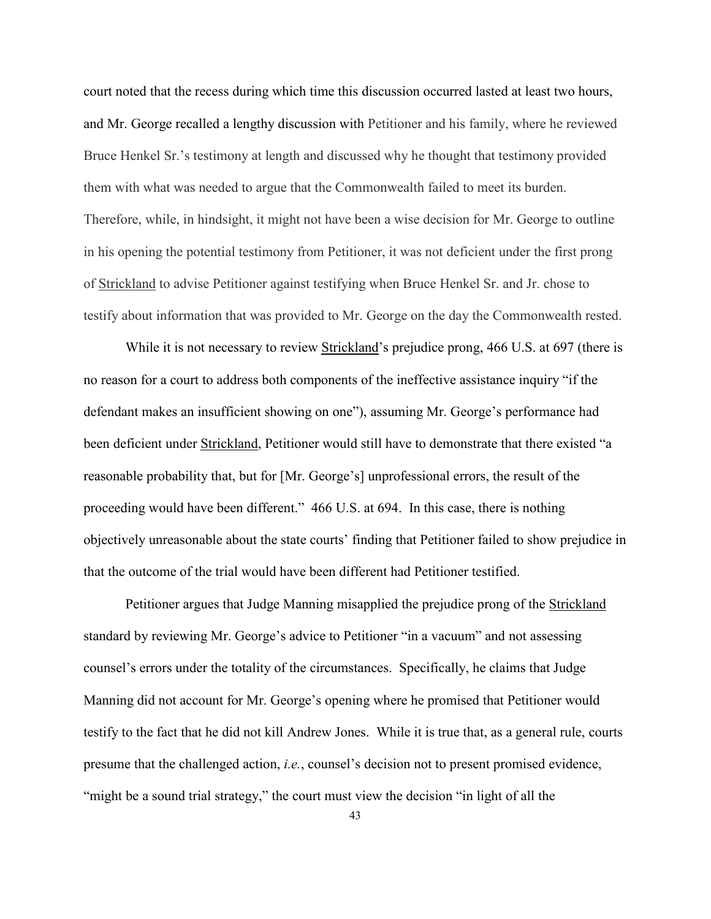court noted that the recess during which time this discussion occurred lasted at least two hours, and Mr. George recalled a lengthy discussion with Petitioner and his family, where he reviewed Bruce Henkel Sr.'s testimony at length and discussed why he thought that testimony provided them with what was needed to argue that the Commonwealth failed to meet its burden. Therefore, while, in hindsight, it might not have been a wise decision for Mr. George to outline in his opening the potential testimony from Petitioner, it was not deficient under the first prong of Strickland to advise Petitioner against testifying when Bruce Henkel Sr. and Jr. chose to testify about information that was provided to Mr. George on the day the Commonwealth rested.

While it is not necessary to review Strickland's prejudice prong, 466 U.S. at 697 (there is no reason for a court to address both components of the ineffective assistance inquiry "if the defendant makes an insufficient showing on one"), assuming Mr. George's performance had been deficient under Strickland, Petitioner would still have to demonstrate that there existed "a reasonable probability that, but for [Mr. George's] unprofessional errors, the result of the proceeding would have been different." 466 U.S. at 694. In this case, there is nothing objectively unreasonable about the state courts' finding that Petitioner failed to show prejudice in that the outcome of the trial would have been different had Petitioner testified.

Petitioner argues that Judge Manning misapplied the prejudice prong of the Strickland standard by reviewing Mr. George's advice to Petitioner "in a vacuum" and not assessing counsel's errors under the totality of the circumstances. Specifically, he claims that Judge Manning did not account for Mr. George's opening where he promised that Petitioner would testify to the fact that he did not kill Andrew Jones. While it is true that, as a general rule, courts presume that the challenged action, *i.e.*, counsel's decision not to present promised evidence, "might be a sound trial strategy," the court must view the decision "in light of all the

43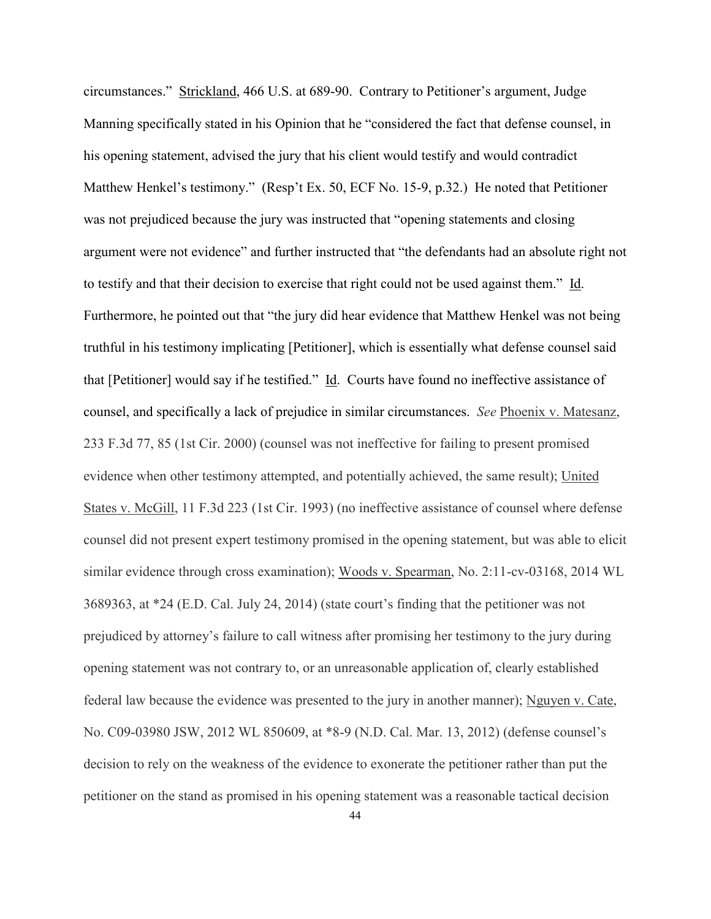circumstances." Strickland, 466 U.S. at 689-90. Contrary to Petitioner's argument, Judge Manning specifically stated in his Opinion that he "considered the fact that defense counsel, in his opening statement, advised the jury that his client would testify and would contradict Matthew Henkel's testimony." (Resp't Ex. 50, ECF No. 15-9, p.32.) He noted that Petitioner was not prejudiced because the jury was instructed that "opening statements and closing argument were not evidence" and further instructed that "the defendants had an absolute right not to testify and that their decision to exercise that right could not be used against them." Id. Furthermore, he pointed out that "the jury did hear evidence that Matthew Henkel was not being truthful in his testimony implicating [Petitioner], which is essentially what defense counsel said that [Petitioner] would say if he testified." Id. Courts have found no ineffective assistance of counsel, and specifically a lack of prejudice in similar circumstances. *See* Phoenix v. Matesanz, 233 F.3d 77, 85 (1st Cir. 2000) (counsel was not ineffective for failing to present promised evidence when other testimony attempted, and potentially achieved, the same result); United States v. McGill, 11 F.3d 223 (1st Cir. 1993) (no ineffective assistance of counsel where defense counsel did not present expert testimony promised in the opening statement, but was able to elicit similar evidence through cross examination); Woods v. Spearman, No. 2:11-cv-03168, 2014 WL 3689363, at \*24 (E.D. Cal. July 24, 2014) (state court's finding that the petitioner was not prejudiced by attorney's failure to call witness after promising her testimony to the jury during opening statement was not contrary to, or an unreasonable application of, clearly established federal law because the evidence was presented to the jury in another manner); Nguyen v. Cate, No. C09-03980 JSW, 2012 WL 850609, at \*8-9 (N.D. Cal. Mar. 13, 2012) (defense counsel's decision to rely on the weakness of the evidence to exonerate the petitioner rather than put the petitioner on the stand as promised in his opening statement was a reasonable tactical decision

44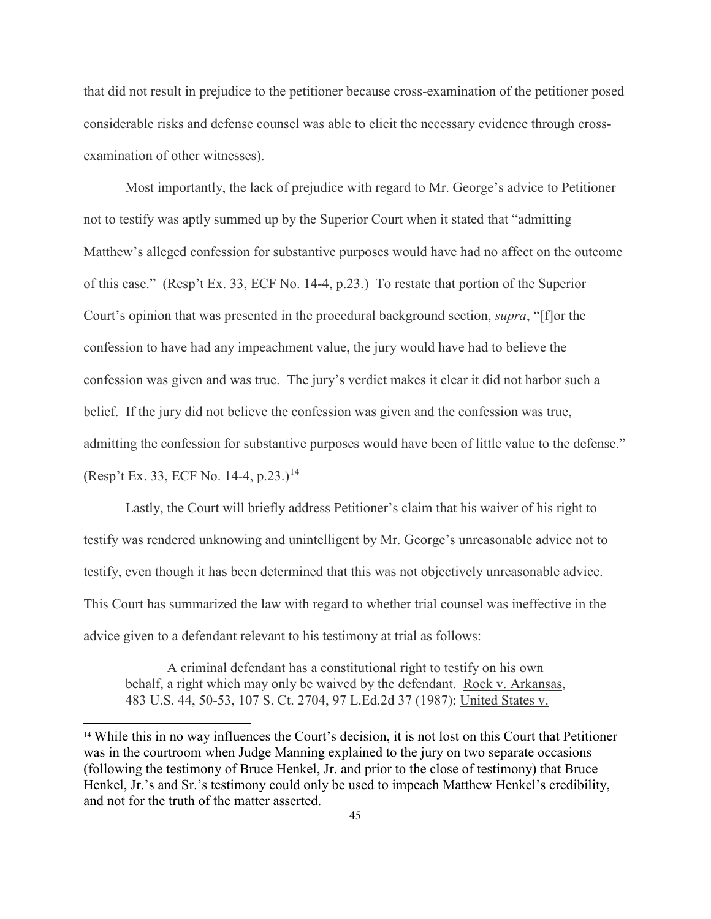that did not result in prejudice to the petitioner because cross-examination of the petitioner posed considerable risks and defense counsel was able to elicit the necessary evidence through crossexamination of other witnesses).

Most importantly, the lack of prejudice with regard to Mr. George's advice to Petitioner not to testify was aptly summed up by the Superior Court when it stated that "admitting Matthew's alleged confession for substantive purposes would have had no affect on the outcome of this case." (Resp't Ex. 33, ECF No. 14-4, p.23.) To restate that portion of the Superior Court's opinion that was presented in the procedural background section, *supra*, "[f]or the confession to have had any impeachment value, the jury would have had to believe the confession was given and was true. The jury's verdict makes it clear it did not harbor such a belief. If the jury did not believe the confession was given and the confession was true, admitting the confession for substantive purposes would have been of little value to the defense." (Resp't Ex. 33, ECF No. [14](#page-44-0)-4, p.23.)<sup>14</sup>

Lastly, the Court will briefly address Petitioner's claim that his waiver of his right to testify was rendered unknowing and unintelligent by Mr. George's unreasonable advice not to testify, even though it has been determined that this was not objectively unreasonable advice. This Court has summarized the law with regard to whether trial counsel was ineffective in the advice given to a defendant relevant to his testimony at trial as follows:

A criminal defendant has a constitutional right to testify on his own behalf, a right which may only be waived by the defendant. Rock v. Arkansas, 483 U.S. 44, 50-53, 107 S. Ct. 2704, 97 L.Ed.2d 37 (1987); United States v.

 $\overline{a}$ 

<span id="page-44-0"></span><sup>14</sup> While this in no way influences the Court's decision, it is not lost on this Court that Petitioner was in the courtroom when Judge Manning explained to the jury on two separate occasions (following the testimony of Bruce Henkel, Jr. and prior to the close of testimony) that Bruce Henkel, Jr.'s and Sr.'s testimony could only be used to impeach Matthew Henkel's credibility, and not for the truth of the matter asserted.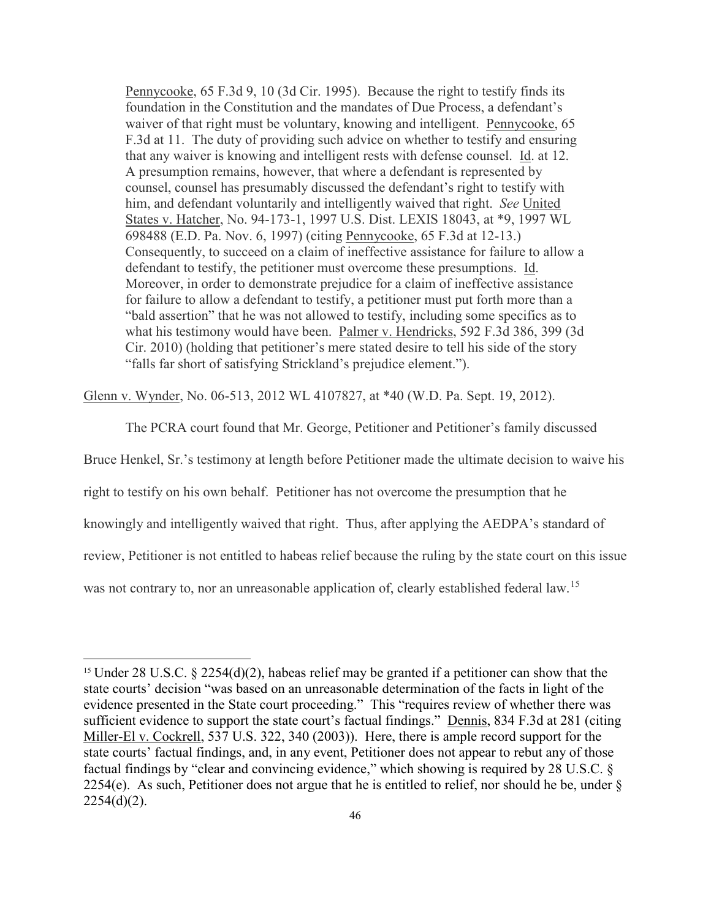Pennycooke, 65 F.3d 9, 10 (3d Cir. 1995). Because the right to testify finds its foundation in the Constitution and the mandates of Due Process, a defendant's waiver of that right must be voluntary, knowing and intelligent. Pennycooke, 65 F.3d at 11. The duty of providing such advice on whether to testify and ensuring that any waiver is knowing and intelligent rests with defense counsel. Id. at 12. A presumption remains, however, that where a defendant is represented by counsel, counsel has presumably discussed the defendant's right to testify with him, and defendant voluntarily and intelligently waived that right. *See* United States v. Hatcher, No. 94-173-1, 1997 U.S. Dist. LEXIS 18043, at \*9, 1997 WL 698488 (E.D. Pa. Nov. 6, 1997) (citing Pennycooke, 65 F.3d at 12-13.) Consequently, to succeed on a claim of ineffective assistance for failure to allow a defendant to testify, the petitioner must overcome these presumptions. Id. Moreover, in order to demonstrate prejudice for a claim of ineffective assistance for failure to allow a defendant to testify, a petitioner must put forth more than a "bald assertion" that he was not allowed to testify, including some specifics as to what his testimony would have been. Palmer v. Hendricks, 592 F.3d 386, 399 (3d Cir. 2010) (holding that petitioner's mere stated desire to tell his side of the story "falls far short of satisfying Strickland's prejudice element.").

Glenn v. Wynder, No. 06-513, 2012 WL 4107827, at \*40 (W.D. Pa. Sept. 19, 2012).

 The PCRA court found that Mr. George, Petitioner and Petitioner's family discussed Bruce Henkel, Sr.'s testimony at length before Petitioner made the ultimate decision to waive his right to testify on his own behalf. Petitioner has not overcome the presumption that he knowingly and intelligently waived that right. Thus, after applying the AEDPA's standard of review, Petitioner is not entitled to habeas relief because the ruling by the state court on this issue was not contrary to, nor an unreasonable application of, clearly established federal law.<sup>[15](#page-45-0)</sup>

 $\overline{a}$ 

<span id="page-45-0"></span><sup>&</sup>lt;sup>15</sup> Under 28 U.S.C. § 2254(d)(2), habeas relief may be granted if a petitioner can show that the state courts' decision "was based on an unreasonable determination of the facts in light of the evidence presented in the State court proceeding." This "requires review of whether there was sufficient evidence to support the state court's factual findings." Dennis, 834 F.3d at 281 (citing Miller-El v. Cockrell, 537 U.S. 322, 340 (2003)). Here, there is ample record support for the state courts' factual findings, and, in any event, Petitioner does not appear to rebut any of those factual findings by "clear and convincing evidence," which showing is required by 28 U.S.C. § 2254(e). As such, Petitioner does not argue that he is entitled to relief, nor should he be, under §  $2254(d)(2)$ .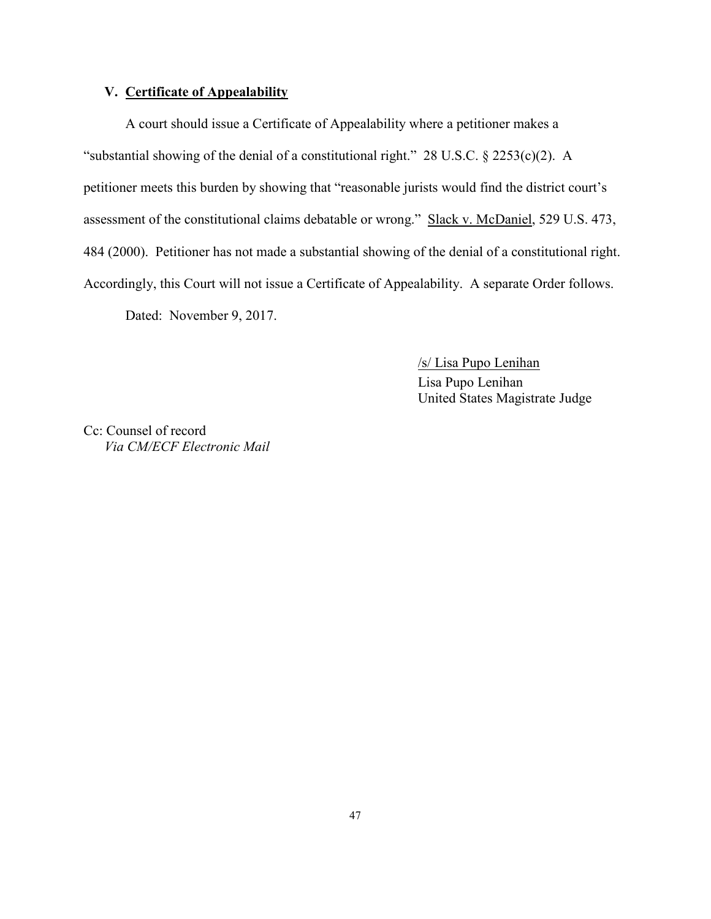## **V. Certificate of Appealability**

A court should issue a Certificate of Appealability where a petitioner makes a "substantial showing of the denial of a constitutional right." 28 U.S.C. § 2253(c)(2). A petitioner meets this burden by showing that "reasonable jurists would find the district court's assessment of the constitutional claims debatable or wrong." Slack v. McDaniel, 529 U.S. 473, 484 (2000). Petitioner has not made a substantial showing of the denial of a constitutional right. Accordingly, this Court will not issue a Certificate of Appealability. A separate Order follows. Dated: November 9, 2017.

> /s/ Lisa Pupo Lenihan Lisa Pupo Lenihan United States Magistrate Judge

Cc: Counsel of record *Via CM/ECF Electronic Mail*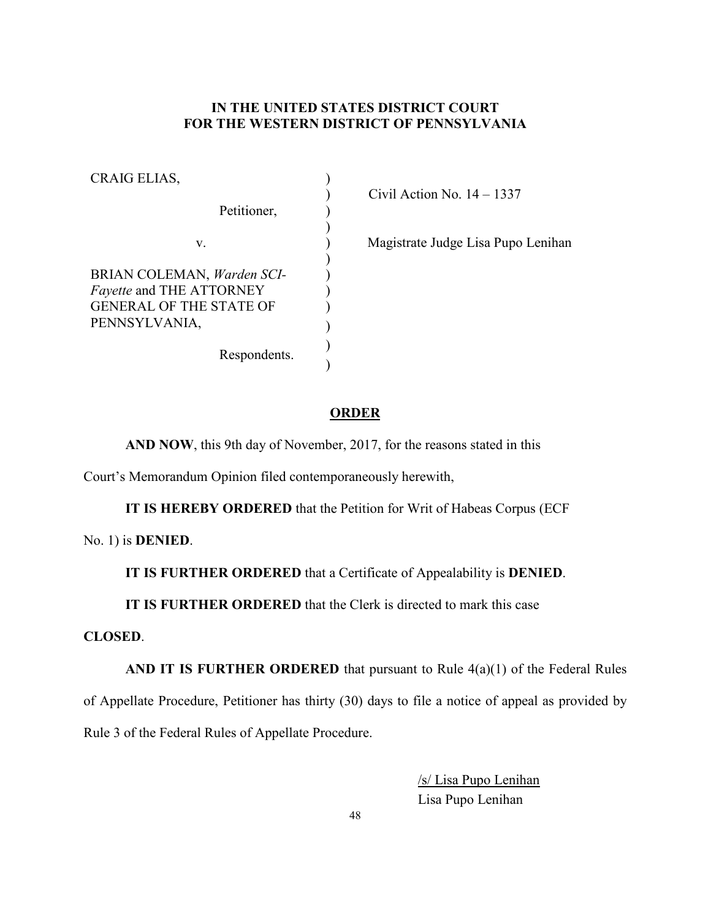# **IN THE UNITED STATES DISTRICT COURT FOR THE WESTERN DISTRICT OF PENNSYLVANIA**

| CRAIG ELIAS,                                                                                                     |  |
|------------------------------------------------------------------------------------------------------------------|--|
| Petitioner,                                                                                                      |  |
| V.                                                                                                               |  |
| BRIAN COLEMAN, Warden SCI-<br><i>Fayette</i> and THE ATTORNEY<br><b>GENERAL OF THE STATE OF</b><br>PENNSYLVANIA, |  |
| Respondents.                                                                                                     |  |

) Civil Action No. 14 – 1337

) Magistrate Judge Lisa Pupo Lenihan

## **ORDER**

**AND NOW**, this 9th day of November, 2017, for the reasons stated in this

Court's Memorandum Opinion filed contemporaneously herewith,

**IT IS HEREBY ORDERED** that the Petition for Writ of Habeas Corpus (ECF

No. 1) is **DENIED**.

**IT IS FURTHER ORDERED** that a Certificate of Appealability is **DENIED**.

**IT IS FURTHER ORDERED** that the Clerk is directed to mark this case

## **CLOSED**.

**AND IT IS FURTHER ORDERED** that pursuant to Rule 4(a)(1) of the Federal Rules of Appellate Procedure, Petitioner has thirty (30) days to file a notice of appeal as provided by Rule 3 of the Federal Rules of Appellate Procedure.

> /s/ Lisa Pupo Lenihan Lisa Pupo Lenihan